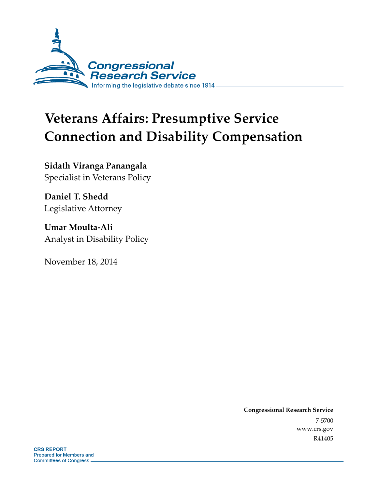

# **Veterans Affairs: Presumptive Service Connection and Disability Compensation**

**Sidath Viranga Panangala**  Specialist in Veterans Policy

**Daniel T. Shedd**  Legislative Attorney

**Umar Moulta-Ali**  Analyst in Disability Policy

November 18, 2014

**Congressional Research Service**  7-5700 www.crs.gov R41405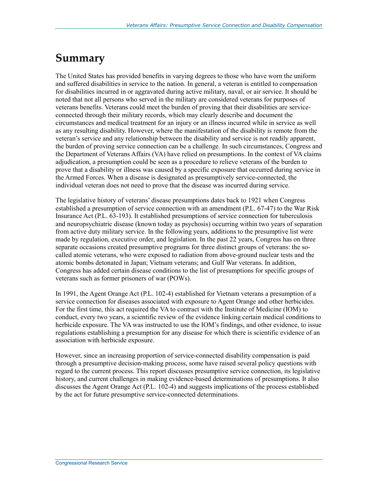## **Summary**

The United States has provided benefits in varying degrees to those who have worn the uniform and suffered disabilities in service to the nation. In general, a veteran is entitled to compensation for disabilities incurred in or aggravated during active military, naval, or air service. It should be noted that not all persons who served in the military are considered veterans for purposes of veterans benefits. Veterans could meet the burden of proving that their disabilities are serviceconnected through their military records, which may clearly describe and document the circumstances and medical treatment for an injury or an illness incurred while in service as well as any resulting disability. However, where the manifestation of the disability is remote from the veteran's service and any relationship between the disability and service is not readily apparent, the burden of proving service connection can be a challenge. In such circumstances, Congress and the Department of Veterans Affairs (VA) have relied on presumptions. In the context of VA claims adjudication, a presumption could be seen as a procedure to relieve veterans of the burden to prove that a disability or illness was caused by a specific exposure that occurred during service in the Armed Forces. When a disease is designated as presumptively service-connected, the individual veteran does not need to prove that the disease was incurred during service.

The legislative history of veterans' disease presumptions dates back to 1921 when Congress established a presumption of service connection with an amendment (P.L. 67-47) to the War Risk Insurance Act (P.L. 63-193). It established presumptions of service connection for tuberculosis and neuropsychiatric disease (known today as psychosis) occurring within two years of separation from active duty military service. In the following years, additions to the presumptive list were made by regulation, executive order, and legislation. In the past 22 years, Congress has on three separate occasions created presumptive programs for three distinct groups of veterans: the socalled atomic veterans, who were exposed to radiation from above-ground nuclear tests and the atomic bombs detonated in Japan; Vietnam veterans; and Gulf War veterans. In addition, Congress has added certain disease conditions to the list of presumptions for specific groups of veterans such as former prisoners of war (POWs).

In 1991, the Agent Orange Act (P.L. 102-4) established for Vietnam veterans a presumption of a service connection for diseases associated with exposure to Agent Orange and other herbicides. For the first time, this act required the VA to contract with the Institute of Medicine (IOM) to conduct, every two years, a scientific review of the evidence linking certain medical conditions to herbicide exposure. The VA was instructed to use the IOM's findings, and other evidence, to issue regulations establishing a presumption for any disease for which there is scientific evidence of an association with herbicide exposure.

However, since an increasing proportion of service-connected disability compensation is paid through a presumptive decision-making process, some have raised several policy questions with regard to the current process. This report discusses presumptive service connection, its legislative history, and current challenges in making evidence-based determinations of presumptions. It also discusses the Agent Orange Act (P.L. 102-4) and suggests implications of the process established by the act for future presumptive service-connected determinations.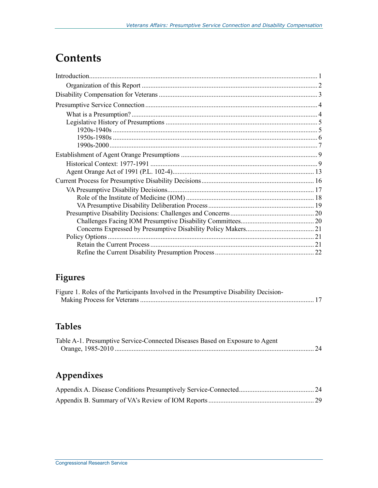## **Contents**

## **Figures**

| Figure 1. Roles of the Participants Involved in the Presumptive Disability Decision- |  |
|--------------------------------------------------------------------------------------|--|
|                                                                                      |  |

## **Tables**

| Table A-1. Presumptive Service-Connected Diseases Based on Exposure to Agent |  |
|------------------------------------------------------------------------------|--|
|                                                                              |  |

## **Appendixes**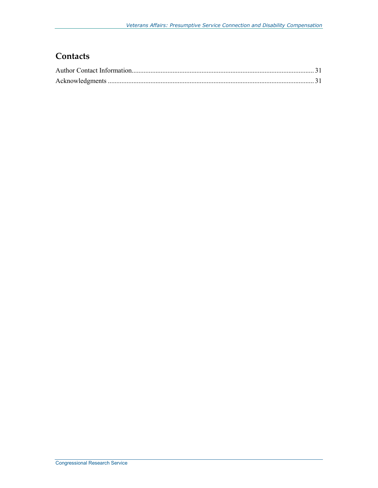## **Contacts**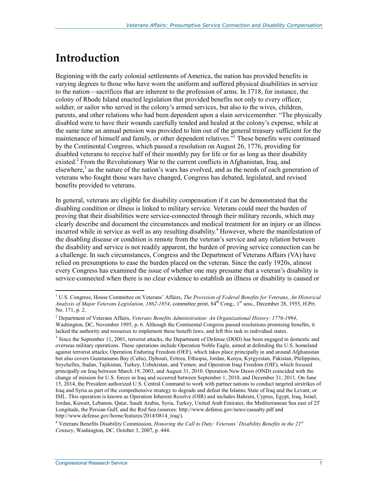## **Introduction**

Beginning with the early colonial settlements of America, the nation has provided benefits in varying degrees to those who have worn the uniform and suffered physical disabilities in service to the nation—sacrifices that are inherent to the profession of arms. In 1718, for instance, the colony of Rhode Island enacted legislation that provided benefits not only to every officer, soldier, or sailor who served in the colony's armed services, but also to the wives, children, parents, and other relations who had been dependent upon a slain servicemember. "The physically disabled were to have their wounds carefully tended and healed at the colony's expense, while at the same time an annual pension was provided to him out of the general treasury sufficient for the maintenance of himself and family, or other dependent relatives."<sup>1</sup> These benefits were continued by the Continental Congress, which passed a resolution on August 26, 1776, providing for disabled veterans to receive half of their monthly pay for life or for as long as their disability existed.<sup>2</sup> From the Revolutionary War to the current conflicts in Afghanistan, Iraq, and elsewhere,<sup>3</sup> as the nature of the nation's wars has evolved, and as the needs of each generation of veterans who fought those wars have changed, Congress has debated, legislated, and revised benefits provided to veterans.

In general, veterans are eligible for disability compensation if it can be demonstrated that the disabling condition or illness is linked to military service. Veterans could meet the burden of proving that their disabilities were service-connected through their military records, which may clearly describe and document the circumstances and medical treatment for an injury or an illness incurred while in service as well as any resulting disability.<sup>4</sup> However, where the manifestation of the disabling disease or condition is remote from the veteran's service and any relation between the disability and service is not readily apparent, the burden of proving service connection can be a challenge. In such circumstances, Congress and the Department of Veterans Affairs (VA) have relied on presumptions to ease the burden placed on the veteran. Since the early 1920s, almost every Congress has examined the issue of whether one may presume that a veteran's disability is service-connected when there is no clear evidence to establish an illness or disability is caused or

<u>.</u>

<sup>&</sup>lt;sup>1</sup> U.S. Congress, House Committee on Veterans' Affairs, *The Provision of Federal Benefits for Veterans, An Historical Analysis of Major Veterans Legislation, 1862-1954*, committee print, 84<sup>th</sup> Cong., 1<sup>st</sup> sess., December 28, 1955, H.Prt. No. 171, p. 2.

<sup>2</sup> Department of Veterans Affairs, *Veterans Benefits Administration: An Organizational History: 1776-1994*, Washington, DC, November 1995, p. 6. Although the Continental Congress passed resolutions promising benefits, it lacked the authority and resources to implement these benefit laws, and left this task to individual states.

<sup>&</sup>lt;sup>3</sup> Since the September 11, 2001, terrorist attacks, the Department of Defense (DOD) has been engaged in domestic and overseas military operations. These operations include Operation Noble Eagle, aimed at defending the U.S. homeland against terrorist attacks; Operation Enduring Freedom (OEF), which takes place principally in and around Afghanistan but also covers Guantanamo Bay (Cuba), Djibouti, Eritrea, Ethiopia, Jordan, Kenya, Kyrgyzstan, Pakistan, Philippines, Seychelles, Sudan, Tajikistan, Turkey, Uzbekistan, and Yemen; and Operation Iraqi Freedom (OIF), which focused principally on Iraq between March 19, 2003, and August 31, 2010. Operation New Dawn (OND) coincided with the change of mission for U.S. forces in Iraq and occurred between September 1, 2010, and December 31, 2011. On June 15, 2014, the President authorized U.S. Central Command to work with partner nations to conduct targeted airstrikes of Iraq and Syria as part of the comprehensive strategy to degrade and defeat the Islamic State of Iraq and the Levant, or ISIL. This operation is known as Operation Inherent Resolve (OIR) and includes Bahrain, Cyprus, Egypt, Iraq, Israel, Jordan, Kuwait, Lebanon, Qatar, Saudi Arabia, Syria, Turkey, United Arab Emirates, the Mediterranean Sea east of 25̊ Longitude, the Persian Gulf, and the Red Sea (sources: http://www.defense.gov/news/casualty.pdf and http://www.defense.gov/home/features/2014/0814\_iraq/).

<sup>4</sup> Veterans Benefits Disability Commission, *Honoring the Call to Duty: Veterans' Disability Benefits in the 21st Century*, Washington, DC, October 3, 2007, p. 444.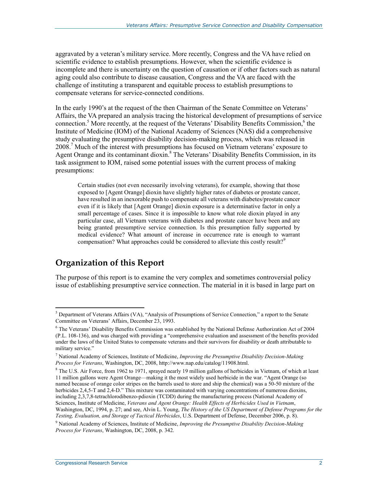aggravated by a veteran's military service. More recently, Congress and the VA have relied on scientific evidence to establish presumptions. However, when the scientific evidence is incomplete and there is uncertainty on the question of causation or if other factors such as natural aging could also contribute to disease causation, Congress and the VA are faced with the challenge of instituting a transparent and equitable process to establish presumptions to compensate veterans for service-connected conditions.

In the early 1990's at the request of the then Chairman of the Senate Committee on Veterans' Affairs, the VA prepared an analysis tracing the historical development of presumptions of service connection.<sup>5</sup> More recently, at the request of the Veterans' Disability Benefits Commission,<sup>6</sup> the Institute of Medicine (IOM) of the National Academy of Sciences (NAS) did a comprehensive study evaluating the presumptive disability decision-making process, which was released in 2008.7 Much of the interest with presumptions has focused on Vietnam veterans' exposure to Agent Orange and its contaminant dioxin.<sup>8</sup> The Veterans' Disability Benefits Commission, in its task assignment to IOM, raised some potential issues with the current process of making presumptions:

Certain studies (not even necessarily involving veterans), for example, showing that those exposed to [Agent Orange] dioxin have slightly higher rates of diabetes or prostate cancer, have resulted in an inexorable push to compensate all veterans with diabetes/prostate cancer even if it is likely that [Agent Orange] dioxin exposure is a determinative factor in only a small percentage of cases. Since it is impossible to know what role dioxin played in any particular case, all Vietnam veterans with diabetes and prostate cancer have been and are being granted presumptive service connection. Is this presumption fully supported by medical evidence? What amount of increase in occurrence rate is enough to warrant compensation? What approaches could be considered to alleviate this costly result?<sup>9</sup>

## **Organization of this Report**

1

The purpose of this report is to examine the very complex and sometimes controversial policy issue of establishing presumptive service connection. The material in it is based in large part on

<sup>&</sup>lt;sup>5</sup> Department of Veterans Affairs (VA), "Analysis of Presumptions of Service Connection," a report to the Senate Committee on Veterans' Affairs, December 23, 1993.

<sup>6</sup> The Veterans' Disability Benefits Commission was established by the National Defense Authorization Act of 2004 (P.L. 108-136), and was charged with providing a "comprehensive evaluation and assessment of the benefits provided under the laws of the United States to compensate veterans and their survivors for disability or death attributable to military service."

<sup>7</sup> National Academy of Sciences, Institute of Medicine, *Improving the Presumptive Disability Decision-Making Process for Veterans*, Washington, DC, 2008, http://www.nap.edu/catalog/11908.html.

<sup>&</sup>lt;sup>8</sup> The U.S. Air Force, from 1962 to 1971, sprayed nearly 19 million gallons of herbicides in Vietnam, of which at least 11 million gallons were Agent Orange—making it the most widely used herbicide in the war. "Agent Orange (so named because of orange color stripes on the barrels used to store and ship the chemical) was a 50-50 mixture of the herbicides 2,4,5-T and 2,4-D." This mixture was contaminated with varying concentrations of numerous dioxins, including 2,3,7,8-tetrachlorodibenzo-pdioxin (TCDD) during the manufacturing process (National Academy of Sciences, Institute of Medicine, *Veterans and Agent Orange: Health Effects of Herbicides Used in Vietnam*, Washington, DC, 1994, p. 27; and see, Alvin L. Young, *The History of the US Department of Defense Programs for the Testing, Evaluation, and Storage of Tactical Herbicides*, U.S. Department of Defense, December 2006, p. 8).

<sup>9</sup> National Academy of Sciences, Institute of Medicine, *Improving the Presumptive Disability Decision-Making Process for Veterans*, Washington, DC, 2008, p. 342.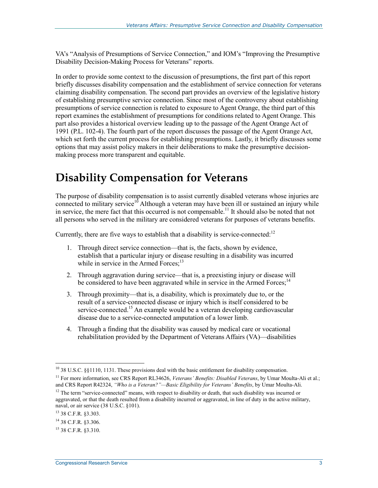VA's "Analysis of Presumptions of Service Connection," and IOM's "Improving the Presumptive Disability Decision-Making Process for Veterans" reports.

In order to provide some context to the discussion of presumptions, the first part of this report briefly discusses disability compensation and the establishment of service connection for veterans claiming disability compensation. The second part provides an overview of the legislative history of establishing presumptive service connection. Since most of the controversy about establishing presumptions of service connection is related to exposure to Agent Orange, the third part of this report examines the establishment of presumptions for conditions related to Agent Orange. This part also provides a historical overview leading up to the passage of the Agent Orange Act of 1991 (P.L. 102-4). The fourth part of the report discusses the passage of the Agent Orange Act, which set forth the current process for establishing presumptions. Lastly, it briefly discusses some options that may assist policy makers in their deliberations to make the presumptive decisionmaking process more transparent and equitable.

## **Disability Compensation for Veterans**

The purpose of disability compensation is to assist currently disabled veterans whose injuries are connected to military service $10^6$  Although a veteran may have been ill or sustained an injury while in service, the mere fact that this occurred is not compensable.<sup>11</sup> It should also be noted that not all persons who served in the military are considered veterans for purposes of veterans benefits.

Currently, there are five ways to establish that a disability is service-connected:<sup>12</sup>

- 1. Through direct service connection—that is, the facts, shown by evidence, establish that a particular injury or disease resulting in a disability was incurred while in service in the Armed Forces:<sup>13</sup>
- 2. Through aggravation during service—that is, a preexisting injury or disease will be considered to have been aggravated while in service in the Armed Forces;<sup>14</sup>
- 3. Through proximity—that is, a disability, which is proximately due to, or the result of a service-connected disease or injury which is itself considered to be service-connected.<sup>15</sup> An example would be a veteran developing cardiovascular disease due to a service-connected amputation of a lower limb.
- 4. Through a finding that the disability was caused by medical care or vocational rehabilitation provided by the Department of Veterans Affairs (VA)—disabilities

 $^{10}$  38 U.S.C. §§1110, 1131. These provisions deal with the basic entitlement for disability compensation.

<sup>&</sup>lt;sup>11</sup> For more information, see CRS Report RL34626, *Veterans' Benefits: Disabled Veterans*, by Umar Moulta-Ali et al.; and CRS Report R42324, *"Who is a Veteran?"—Basic Eligibility for Veterans' Benefits*, by Umar Moulta-Ali.

 $12$  The term "service-connected" means, with respect to disability or death, that such disability was incurred or aggravated, or that the death resulted from a disability incurred or aggravated, in line of duty in the active military, naval, or air service (38 U.S.C. §101).

<sup>13 38</sup> C.F.R. §3.303.

<sup>14 38</sup> C.F.R. §3.306.

<sup>15 38</sup> C.F.R. §3.310.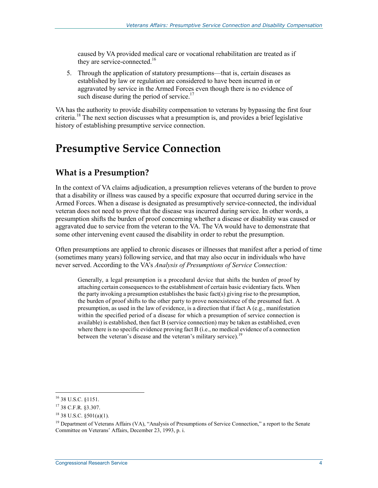caused by VA provided medical care or vocational rehabilitation are treated as if they are service-connected.<sup>16</sup>

5. Through the application of statutory presumptions—that is, certain diseases as established by law or regulation are considered to have been incurred in or aggravated by service in the Armed Forces even though there is no evidence of such disease during the period of service.<sup>17</sup>

VA has the authority to provide disability compensation to veterans by bypassing the first four criteria.<sup>18</sup> The next section discusses what a presumption is, and provides a brief legislative history of establishing presumptive service connection.

## **Presumptive Service Connection**

### **What is a Presumption?**

In the context of VA claims adjudication, a presumption relieves veterans of the burden to prove that a disability or illness was caused by a specific exposure that occurred during service in the Armed Forces. When a disease is designated as presumptively service-connected, the individual veteran does not need to prove that the disease was incurred during service. In other words, a presumption shifts the burden of proof concerning whether a disease or disability was caused or aggravated due to service from the veteran to the VA. The VA would have to demonstrate that some other intervening event caused the disability in order to rebut the presumption.

Often presumptions are applied to chronic diseases or illnesses that manifest after a period of time (sometimes many years) following service, and that may also occur in individuals who have never served. According to the VA's *Analysis of Presumptions of Service Connection:*

Generally, a legal presumption is a procedural device that shifts the burden of proof by attaching certain consequences to the establishment of certain basic evidentiary facts. When the party invoking a presumption establishes the basic fact(s) giving rise to the presumption, the burden of proof shifts to the other party to prove nonexistence of the presumed fact. A presumption, as used in the law of evidence, is a direction that if fact A (e.g., manifestation within the specified period of a disease for which a presumption of service connection is available) is established, then fact B (service connection) may be taken as established, even where there is no specific evidence proving fact B (i.e., no medical evidence of a connection between the veteran's disease and the veteran's military service).<sup>19</sup>

<sup>16 38</sup> U.S.C. §1151.

<sup>17 38</sup> C.F.R. §3.307.

<sup>18 38</sup> U.S.C. §501(a)(1).

<sup>&</sup>lt;sup>19</sup> Department of Veterans Affairs (VA), "Analysis of Presumptions of Service Connection," a report to the Senate Committee on Veterans' Affairs, December 23, 1993, p. i.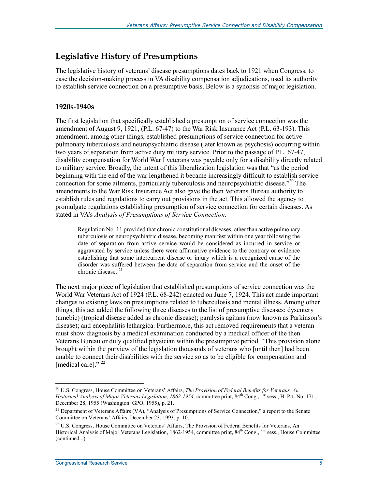### **Legislative History of Presumptions**

The legislative history of veterans' disease presumptions dates back to 1921 when Congress, to ease the decision-making process in VA disability compensation adjudications, used its authority to establish service connection on a presumptive basis. Below is a synopsis of major legislation.

#### **1920s-1940s**

The first legislation that specifically established a presumption of service connection was the amendment of August 9, 1921, (P.L. 67-47) to the War Risk Insurance Act (P.L. 63-193). This amendment, among other things, established presumptions of service connection for active pulmonary tuberculosis and neuropsychiatric disease (later known as psychosis) occurring within two years of separation from active duty military service. Prior to the passage of P.L. 67-47, disability compensation for World War I veterans was payable only for a disability directly related to military service. Broadly, the intent of this liberalization legislation was that "as the period beginning with the end of the war lengthened it became increasingly difficult to establish service connection for some ailments, particularly tuberculosis and neuropsychiatric disease."<sup>20</sup> The amendments to the War Risk Insurance Act also gave the then Veterans Bureau authority to establish rules and regulations to carry out provisions in the act. This allowed the agency to promulgate regulations establishing presumption of service connection for certain diseases. As stated in VA's *Analysis of Presumptions of Service Connection:* 

Regulation No. 11 provided that chronic constitutional diseases, other than active pulmonary tuberculosis or neuropsychiatric disease, becoming manifest within one year following the date of separation from active service would be considered as incurred in service or aggravated by service unless there were affirmative evidence to the contrary or evidence establishing that some intercurrent disease or injury which is a recognized cause of the disorder was suffered between the date of separation from service and the onset of the chronic disease.<sup>21</sup>

The next major piece of legislation that established presumptions of service connection was the World War Veterans Act of 1924 (P.L. 68-242) enacted on June 7, 1924. This act made important changes to existing laws on presumptions related to tuberculosis and mental illness. Among other things, this act added the following three diseases to the list of presumptive diseases: dysentery (amebic) (tropical disease added as chronic disease); paralysis agitans (now known as Parkinson's disease); and encephalitis lethargica. Furthermore, this act removed requirements that a veteran must show diagnosis by a medical examination conducted by a medical officer of the then Veterans Bureau or duly qualified physician within the presumptive period. "This provision alone brought within the purview of the legislation thousands of veterans who [until then] had been unable to connect their disabilities with the service so as to be eligible for compensation and [medical care]."<sup>22</sup>

<sup>1</sup> 20 U.S. Congress, House Committee on Veterans' Affairs, *The Provision of Federal Benefits for Veterans, An Historical Analysis of Major Veterans Legislation, 1862-1954, committee print, 84<sup>th</sup> Cong., 1<sup>st</sup> sess., H. Prt. No. 171,* December 28, 1955 (Washington: GPO, 1955), p. 21.

<sup>&</sup>lt;sup>21</sup> Department of Veterans Affairs (VA), "Analysis of Presumptions of Service Connection," a report to the Senate Committee on Veterans' Affairs, December 23, 1993, p. 10.

<sup>&</sup>lt;sup>22</sup> U.S. Congress, House Committee on Veterans' Affairs, The Provision of Federal Benefits for Veterans, An Historical Analysis of Major Veterans Legislation, 1862-1954, committee print, 84<sup>th</sup> Cong., 1<sup>st</sup> sess., House Committee (continued...)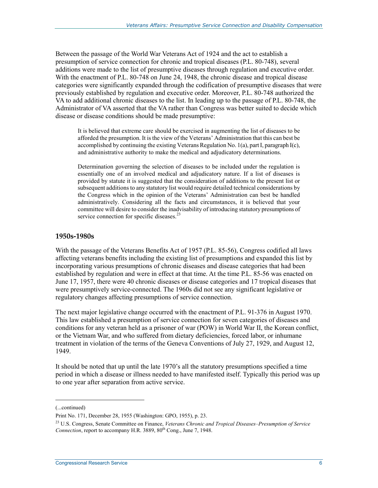Between the passage of the World War Veterans Act of 1924 and the act to establish a presumption of service connection for chronic and tropical diseases (P.L. 80-748), several additions were made to the list of presumptive diseases through regulation and executive order. With the enactment of P.L. 80-748 on June 24, 1948, the chronic disease and tropical disease categories were significantly expanded through the codification of presumptive diseases that were previously established by regulation and executive order. Moreover, P.L. 80-748 authorized the VA to add additional chronic diseases to the list. In leading up to the passage of P.L. 80-748, the Administrator of VA asserted that the VA rather than Congress was better suited to decide which disease or disease conditions should be made presumptive:

It is believed that extreme care should be exercised in augmenting the list of diseases to be afforded the presumption. It is the view of the Veterans' Administration that this can best be accomplished by continuing the existing Veterans Regulation No. 1(a), part I, paragraph I(c), and administrative authority to make the medical and adjudicatory determinations.

Determination governing the selection of diseases to be included under the regulation is essentially one of an involved medical and adjudicatory nature. If a list of diseases is provided by statute it is suggested that the consideration of additions to the present list or subsequent additions to any statutory list would require detailed technical considerations by the Congress which in the opinion of the Veterans' Administration can best be handled administratively. Considering all the facts and circumstances, it is believed that your committee will desire to consider the inadvisability of introducing statutory presumptions of service connection for specific diseases.<sup>23</sup>

#### **1950s-1980s**

With the passage of the Veterans Benefits Act of 1957 (P.L. 85-56), Congress codified all laws affecting veterans benefits including the existing list of presumptions and expanded this list by incorporating various presumptions of chronic diseases and disease categories that had been established by regulation and were in effect at that time. At the time P.L. 85-56 was enacted on June 17, 1957, there were 40 chronic diseases or disease categories and 17 tropical diseases that were presumptively service-connected. The 1960s did not see any significant legislative or regulatory changes affecting presumptions of service connection.

The next major legislative change occurred with the enactment of P.L. 91-376 in August 1970. This law established a presumption of service connection for seven categories of diseases and conditions for any veteran held as a prisoner of war (POW) in World War II, the Korean conflict, or the Vietnam War, and who suffered from dietary deficiencies, forced labor, or inhumane treatment in violation of the terms of the Geneva Conventions of July 27, 1929, and August 12, 1949.

It should be noted that up until the late 1970's all the statutory presumptions specified a time period in which a disease or illness needed to have manifested itself. Typically this period was up to one year after separation from active service.

<sup>(...</sup>continued)

Print No. 171, December 28, 1955 (Washington: GPO, 1955), p. 23.

<sup>23</sup> U.S. Congress, Senate Committee on Finance, *Veterans Chronic and Tropical Diseases–Presumption of Service Connection*, report to accompany H.R. 3889, 80<sup>th</sup> Cong., June 7, 1948.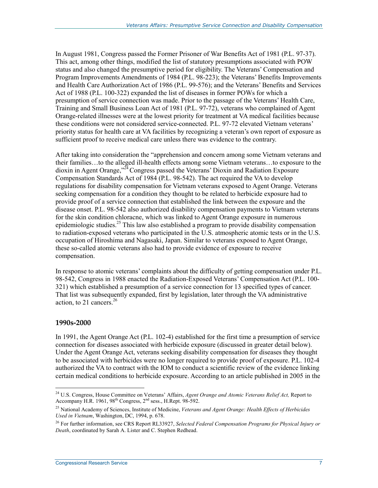In August 1981, Congress passed the Former Prisoner of War Benefits Act of 1981 (P.L. 97-37). This act, among other things, modified the list of statutory presumptions associated with POW status and also changed the presumptive period for eligibility. The Veterans' Compensation and Program Improvements Amendments of 1984 (P.L. 98-223); the Veterans' Benefits Improvements and Health Care Authorization Act of 1986 (P.L. 99-576); and the Veterans' Benefits and Services Act of 1988 (P.L. 100-322) expanded the list of diseases in former POWs for which a presumption of service connection was made. Prior to the passage of the Veterans' Health Care, Training and Small Business Loan Act of 1981 (P.L. 97-72), veterans who complained of Agent Orange-related illnesses were at the lowest priority for treatment at VA medical facilities because these conditions were not considered service-connected. P.L. 97-72 elevated Vietnam veterans' priority status for health care at VA facilities by recognizing a veteran's own report of exposure as sufficient proof to receive medical care unless there was evidence to the contrary.

After taking into consideration the "apprehension and concern among some Vietnam veterans and their families…to the alleged ill-health effects among some Vietnam veterans…to exposure to the dioxin in Agent Orange,<sup>324</sup> Congress passed the Veterans' Dioxin and Radiation Exposure Compensation Standards Act of 1984 (P.L. 98-542). The act required the VA to develop regulations for disability compensation for Vietnam veterans exposed to Agent Orange. Veterans seeking compensation for a condition they thought to be related to herbicide exposure had to provide proof of a service connection that established the link between the exposure and the disease onset. P.L. 98-542 also authorized disability compensation payments to Vietnam veterans for the skin condition chloracne, which was linked to Agent Orange exposure in numerous epidemiologic studies.<sup>25</sup> This law also established a program to provide disability compensation to radiation-exposed veterans who participated in the U.S. atmospheric atomic tests or in the U.S. occupation of Hiroshima and Nagasaki, Japan. Similar to veterans exposed to Agent Orange, these so-called atomic veterans also had to provide evidence of exposure to receive compensation.

In response to atomic veterans' complaints about the difficulty of getting compensation under P.L. 98-542, Congress in 1988 enacted the Radiation-Exposed Veterans' Compensation Act (P.L. 100- 321) which established a presumption of a service connection for 13 specified types of cancer. That list was subsequently expanded, first by legislation, later through the VA administrative action, to 21 cancers. $26$ 

#### **1990s-2000**

1

In 1991, the Agent Orange Act (P.L. 102-4) established for the first time a presumption of service connection for diseases associated with herbicide exposure (discussed in greater detail below). Under the Agent Orange Act, veterans seeking disability compensation for diseases they thought to be associated with herbicides were no longer required to provide proof of exposure. P.L. 102-4 authorized the VA to contract with the IOM to conduct a scientific review of the evidence linking certain medical conditions to herbicide exposure. According to an article published in 2005 in the

<sup>24</sup> U.S. Congress, House Committee on Veterans' Affairs, *Agent Orange and Atomic Veterans Relief Act,* Report to Accompany H.R.  $1961$ ,  $98<sup>th</sup> Congress$ ,  $2<sup>nd</sup> sess$ ., H.Rept.  $98-592$ .

<sup>25</sup> National Academy of Sciences, Institute of Medicine, *Veterans and Agent Orange: Health Effects of Herbicides Used in Vietnam*, Washington, DC, 1994, p. 678.

<sup>26</sup> For further information, see CRS Report RL33927, *Selected Federal Compensation Programs for Physical Injury or Death*, coordinated by Sarah A. Lister and C. Stephen Redhead.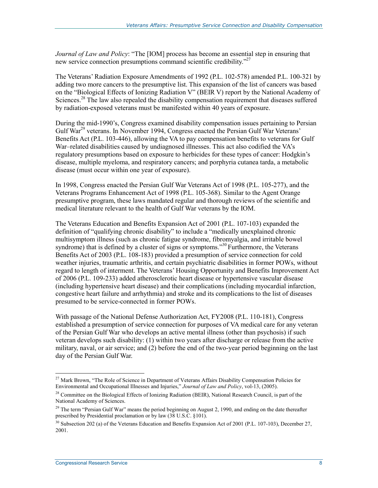*Journal of Law and Policy*: "The [IOM] process has become an essential step in ensuring that new service connection presumptions command scientific credibility."<sup>27</sup>

The Veterans' Radiation Exposure Amendments of 1992 (P.L. 102-578) amended P.L. 100-321 by adding two more cancers to the presumptive list. This expansion of the list of cancers was based on the "Biological Effects of Ionizing Radiation V" (BEIR V) report by the National Academy of Sciences.<sup>28</sup> The law also repealed the disability compensation requirement that diseases suffered by radiation-exposed veterans must be manifested within 40 years of exposure.

During the mid-1990's, Congress examined disability compensation issues pertaining to Persian Gulf War<sup>29</sup> veterans. In November 1994, Congress enacted the Persian Gulf War Veterans' Benefits Act (P.L. 103-446), allowing the VA to pay compensation benefits to veterans for Gulf War–related disabilities caused by undiagnosed illnesses. This act also codified the VA's regulatory presumptions based on exposure to herbicides for these types of cancer: Hodgkin's disease, multiple myeloma, and respiratory cancers; and porphyria cutanea tarda, a metabolic disease (must occur within one year of exposure).

In 1998, Congress enacted the Persian Gulf War Veterans Act of 1998 (P.L. 105-277), and the Veterans Programs Enhancement Act of 1998 (P.L. 105-368). Similar to the Agent Orange presumptive program, these laws mandated regular and thorough reviews of the scientific and medical literature relevant to the health of Gulf War veterans by the IOM.

The Veterans Education and Benefits Expansion Act of 2001 (P.L. 107-103) expanded the definition of "qualifying chronic disability" to include a "medically unexplained chronic multisymptom illness (such as chronic fatigue syndrome, fibromyalgia, and irritable bowel syndrome) that is defined by a cluster of signs or symptoms."<sup>30</sup> Furthermore, the Veterans Benefits Act of 2003 (P.L. 108-183) provided a presumption of service connection for cold weather injuries, traumatic arthritis, and certain psychiatric disabilities in former POWs, without regard to length of interment. The Veterans' Housing Opportunity and Benefits Improvement Act of 2006 (P.L. 109-233) added atherosclerotic heart disease or hypertensive vascular disease (including hypertensive heart disease) and their complications (including myocardial infarction, congestive heart failure and arrhythmia) and stroke and its complications to the list of diseases presumed to be service-connected in former POWs.

With passage of the National Defense Authorization Act, FY2008 (P.L. 110-181), Congress established a presumption of service connection for purposes of VA medical care for any veteran of the Persian Gulf War who develops an active mental illness (other than psychosis) if such veteran develops such disability: (1) within two years after discharge or release from the active military, naval, or air service; and (2) before the end of the two-year period beginning on the last day of the Persian Gulf War.

<sup>&</sup>lt;sup>27</sup> Mark Brown, "The Role of Science in Department of Veterans Affairs Disability Compensation Policies for Environmental and Occupational Illnesses and Injuries," *Journal of Law and Policy*, vol-13, (2005).

 $^{28}$  Committee on the Biological Effects of Ionizing Radiation (BEIR), National Research Council, is part of the National Academy of Sciences.

<sup>&</sup>lt;sup>29</sup> The term "Persian Gulf War" means the period beginning on August 2, 1990, and ending on the date thereafter prescribed by Presidential proclamation or by law (38 U.S.C. §101).

 $30$  Subsection 202 (a) of the Veterans Education and Benefits Expansion Act of 2001 (P.L. 107-103), December 27, 2001.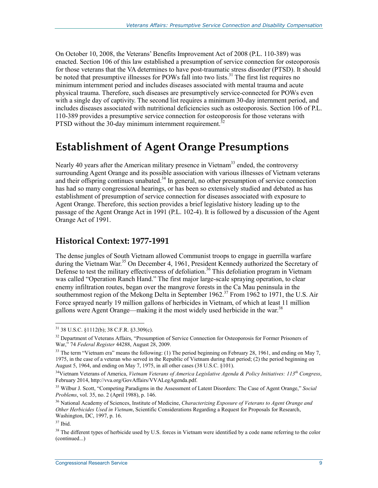On October 10, 2008, the Veterans' Benefits Improvement Act of 2008 (P.L. 110-389) was enacted. Section 106 of this law established a presumption of service connection for osteoporosis for those veterans that the VA determines to have post-traumatic stress disorder (PTSD). It should be noted that presumptive illnesses for POWs fall into two lists.<sup>31</sup> The first list requires no minimum internment period and includes diseases associated with mental trauma and acute physical trauma. Therefore, such diseases are presumptively service-connected for POWs even with a single day of captivity. The second list requires a minimum 30-day internment period, and includes diseases associated with nutritional deficiencies such as osteoporosis. Section 106 of P.L. 110-389 provides a presumptive service connection for osteoporosis for those veterans with PTSD without the 30-day minimum internment requirement.<sup>3</sup>

## **Establishment of Agent Orange Presumptions**

Nearly 40 years after the American military presence in Vietnam<sup>33</sup> ended, the controversy surrounding Agent Orange and its possible association with various illnesses of Vietnam veterans and their offspring continues unabated.<sup>34</sup> In general, no other presumption of service connection has had so many congressional hearings, or has been so extensively studied and debated as has establishment of presumption of service connection for diseases associated with exposure to Agent Orange. Therefore, this section provides a brief legislative history leading up to the passage of the Agent Orange Act in 1991 (P.L. 102-4). It is followed by a discussion of the Agent Orange Act of 1991.

### **Historical Context: 1977-1991**

The dense jungles of South Vietnam allowed Communist troops to engage in guerrilla warfare during the Vietnam War.<sup>35</sup> On December 4, 1961, President Kennedy authorized the Secretary of Defense to test the military effectiveness of defoliation.<sup>36</sup> This defoliation program in Vietnam was called "Operation Ranch Hand." The first major large-scale spraying operation, to clear enemy infiltration routes, began over the mangrove forests in the Ca Mau peninsula in the southernmost region of the Mekong Delta in September 1962.<sup>37</sup> From 1962 to 1971, the U.S. Air Force sprayed nearly 19 million gallons of herbicides in Vietnam, of which at least 11 million gallons were Agent Orange—making it the most widely used herbicide in the war.<sup>38</sup>

 $31$  38 U.S.C. §1112(b); 38 C.F.R. §3.309(c).

<sup>&</sup>lt;sup>32</sup> Department of Veterans Affairs, "Presumption of Service Connection for Osteoporosis for Former Prisoners of War," 74 *Federal Register* 44288, August 28, 2009.

<sup>&</sup>lt;sup>33</sup> The term "Vietnam era" means the following: (1) The period beginning on February 28, 1961, and ending on May 7, 1975, in the case of a veteran who served in the Republic of Vietnam during that period; (2) the period beginning on August 5, 1964, and ending on May 7, 1975, in all other cases (38 U.S.C. §101).

<sup>34</sup>Vietnam Veterans of America, *Vietnam Veterans of America Legislative Agenda & Policy Initiatives: 113th Congress*, February 2014, http://vva.org/GovAffairs/VVALegAgenda.pdf.

<sup>35</sup> Wilbur J. Scott, "Competing Paradigms in the Assessment of Latent Disorders: The Case of Agent Orange," *Social Problems*, vol. 35, no. 2 (April 1988), p. 146.

<sup>36</sup> National Academy of Sciences, Institute of Medicine, *Characterizing Exposure of Veterans to Agent Orange and Other Herbicides Used in Vietnam*, Scientific Considerations Regarding a Request for Proposals for Research, Washington, DC, 1997, p. 16.

 $37$  Ibid.

 $38$  The different types of herbicide used by U.S. forces in Vietnam were identified by a code name referring to the color (continued...)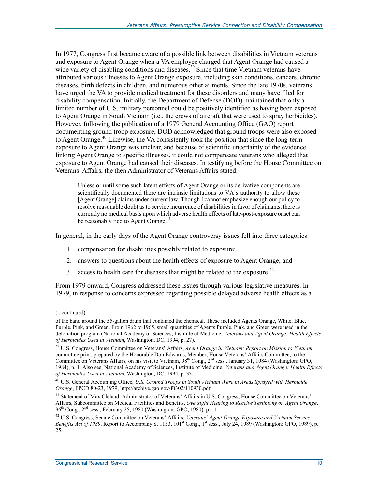In 1977, Congress first became aware of a possible link between disabilities in Vietnam veterans and exposure to Agent Orange when a VA employee charged that Agent Orange had caused a wide variety of disabling conditions and diseases.<sup>39</sup> Since that time Vietnam veterans have attributed various illnesses to Agent Orange exposure, including skin conditions, cancers, chronic diseases, birth defects in children, and numerous other ailments. Since the late 1970s, veterans have urged the VA to provide medical treatment for these disorders and many have filed for disability compensation. Initially, the Department of Defense (DOD) maintained that only a limited number of U.S. military personnel could be positively identified as having been exposed to Agent Orange in South Vietnam (i.e., the crews of aircraft that were used to spray herbicides). However, following the publication of a 1979 General Accounting Office (GAO) report documenting ground troop exposure, DOD acknowledged that ground troops were also exposed to Agent Orange.<sup>40</sup> Likewise, the VA consistently took the position that since the long-term exposure to Agent Orange was unclear, and because of scientific uncertainty of the evidence linking Agent Orange to specific illnesses, it could not compensate veterans who alleged that exposure to Agent Orange had caused their diseases. In testifying before the House Committee on Veterans' Affairs, the then Administrator of Veterans Affairs stated:

Unless or until some such latent effects of Agent Orange or its derivative components are scientifically documented there are intrinsic limitations to VA's authority to allow these [Agent Orange] claims under current law. Though I cannot emphasize enough our policy to resolve reasonable doubt as to service incurrence of disabilities in favor of claimants, there is currently no medical basis upon which adverse health effects of late-post-exposure onset can be reasonably tied to Agent Orange.<sup>41</sup>

In general, in the early days of the Agent Orange controversy issues fell into three categories:

- 1. compensation for disabilities possibly related to exposure;
- 2. answers to questions about the health effects of exposure to Agent Orange; and
- 3. access to health care for diseases that might be related to the exposure.<sup>42</sup>

From 1979 onward, Congress addressed these issues through various legislative measures. In 1979, in response to concerns expressed regarding possible delayed adverse health effects as a

<sup>(...</sup>continued)

of the band around the 55-gallon drum that contained the chemical. These included Agents Orange, White, Blue, Purple, Pink, and Green. From 1962 to 1965, small quantities of Agents Purple, Pink, and Green were used in the defoliation program (National Academy of Sciences, Institute of Medicine, *Veterans and Agent Orange: Health Effects of Herbicides Used in Vietnam*, Washington, DC, 1994, p. 27).

<sup>39</sup> U.S. Congress, House Committee on Veterans' Affairs, *Agent Orange in Vietnam: Report on Mission to Vietnam*, committee print, prepared by the Honorable Don Edwards, Member, House Veterans' Affairs Committee, to the Committee on Veterans Affairs, on his visit to Vietnam, 98<sup>th</sup> Cong., 2<sup>nd</sup> sess., January 31, 1984 (Washington: GPO, 1984), p. 1. Also see, National Academy of Sciences, Institute of Medicine, *Veterans and Agent Orange: Health Effects of Herbicides Used in Vietnam*, Washington, DC, 1994, p. 33.

<sup>40</sup> U.S. General Accounting Office, *U.S. Ground Troops in South Vietnam Were in Areas Sprayed with Herbicide Orange*, FPCD 80-23, 1979, http://archive.gao.gov/f0302/110930.pdf.

<sup>&</sup>lt;sup>41</sup> Statement of Max Cleland, Administrator of Veterans' Affairs in U.S. Congress, House Committee on Veterans' Affairs, Subcommittee on Medical Facilities and Benefits, *Oversight Hearing to Receive Testimony on Agent Orange*, 96th Cong., 2nd sess., February 25, 1980 (Washington: GPO, 1980), p. 11.

<sup>42</sup> U.S. Congress, Senate Committee on Veterans' Affairs, *Veterans' Agent Orange Exposure and Vietnam Service Benefits Act of 1989*, Report to Accompany S. 1153,  $101^{st}$  Cong.,  $1^{st}$  sess., July 24, 1989 (Washington: GPO, 1989), p. 25.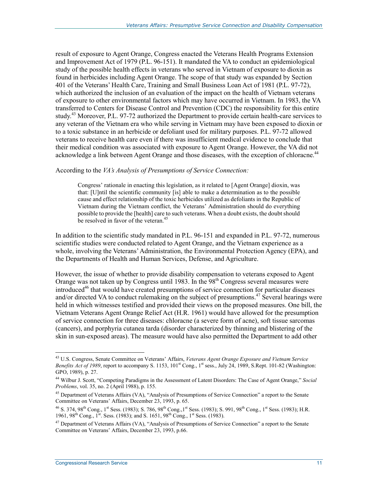result of exposure to Agent Orange, Congress enacted the Veterans Health Programs Extension and Improvement Act of 1979 (P.L. 96-151). It mandated the VA to conduct an epidemiological study of the possible health effects in veterans who served in Vietnam of exposure to dioxin as found in herbicides including Agent Orange. The scope of that study was expanded by Section 401 of the Veterans' Health Care, Training and Small Business Loan Act of 1981 (P.L. 97-72), which authorized the inclusion of an evaluation of the impact on the health of Vietnam veterans of exposure to other environmental factors which may have occurred in Vietnam. In 1983, the VA transferred to Centers for Disease Control and Prevention (CDC) the responsibility for this entire study.<sup>43</sup> Moreover, P.L. 97-72 authorized the Department to provide certain health-care services to any veteran of the Vietnam era who while serving in Vietnam may have been exposed to dioxin or to a toxic substance in an herbicide or defoliant used for military purposes. P.L. 97-72 allowed veterans to receive health care even if there was insufficient medical evidence to conclude that their medical condition was associated with exposure to Agent Orange. However, the VA did not acknowledge a link between Agent Orange and those diseases, with the exception of chloracne.<sup>44</sup>

#### According to the *VA's Analysis of Presumptions of Service Connection:*

Congress' rationale in enacting this legislation, as it related to [Agent Orange] dioxin, was that: [U]ntil the scientific community [is] able to make a determination as to the possible cause and effect relationship of the toxic herbicides utilized as defoliants in the Republic of Vietnam during the Vietnam conflict, the Veterans' Administration should do everything possible to provide the [health] care to such veterans. When a doubt exists, the doubt should be resolved in favor of the veteran.<sup>45</sup>

In addition to the scientific study mandated in P.L. 96-151 and expanded in P.L. 97-72, numerous scientific studies were conducted related to Agent Orange, and the Vietnam experience as a whole, involving the Veterans' Administration, the Environmental Protection Agency (EPA), and the Departments of Health and Human Services, Defense, and Agriculture.

However, the issue of whether to provide disability compensation to veterans exposed to Agent Orange was not taken up by Congress until 1983. In the 98<sup>th</sup> Congress several measures were introduced<sup>46</sup> that would have created presumptions of service connection for particular diseases and/or directed VA to conduct rulemaking on the subject of presumptions.<sup>47</sup> Several hearings were held in which witnesses testified and provided their views on the proposed measures. One bill, the Vietnam Veterans Agent Orange Relief Act (H.R. 1961) would have allowed for the presumption of service connection for three diseases: chloracne (a severe form of acne), soft tissue sarcomas (cancers), and porphyria cutanea tarda (disorder characterized by thinning and blistering of the skin in sun-exposed areas). The measure would have also permitted the Department to add other

<sup>&</sup>lt;u>.</u> 43 U.S. Congress, Senate Committee on Veterans' Affairs, *Veterans Agent Orange Exposure and Vietnam Service Benefits Act of 1989*, report to accompany S. 1153, 101<sup>st</sup> Cong., 1<sup>st</sup> sess., July 24, 1989, S.Rept. 101-82 (Washington: GPO, 1989), p. 27.

<sup>44</sup> Wilbur J. Scott, "Competing Paradigms in the Assessment of Latent Disorders: The Case of Agent Orange," *Social Problems*, vol. 35, no. 2 (April 1988), p. 155.

<sup>45</sup> Department of Veterans Affairs (VA), "Analysis of Presumptions of Service Connection" a report to the Senate Committee on Veterans' Affairs, December 23, 1993, p. 65.

<sup>&</sup>lt;sup>46</sup> S. 374, 98<sup>th</sup> Cong., 1<sup>st</sup> Sess. (1983); S. 786, 98<sup>th</sup> Cong., 1<sup>st</sup> Sess. (1983); S. 991, 98<sup>th</sup> Cong., 1<sup>st</sup> Sess. (1983); H.R. 1961, 98<sup>th</sup> Cong., 1<sup>st</sup>. Sess. (1983); and S. 1651, 98<sup>th</sup> Cong., 1<sup>st</sup> Sess. (1983).

 $47$  Department of Veterans Affairs (VA), "Analysis of Presumptions of Service Connection" a report to the Senate Committee on Veterans' Affairs, December 23, 1993, p.66.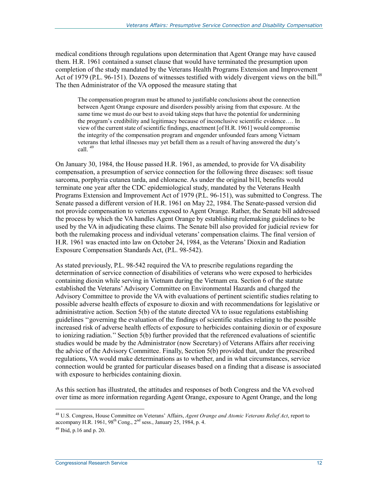medical conditions through regulations upon determination that Agent Orange may have caused them. H.R. 1961 contained a sunset clause that would have terminated the presumption upon completion of the study mandated by the Veterans Health Programs Extension and Improvement Act of 1979 (P.L. 96-151). Dozens of witnesses testified with widely divergent views on the bill.<sup>48</sup> The then Administrator of the VA opposed the measure stating that

The compensation program must be attuned to justifiable conclusions about the connection between Agent Orange exposure and disorders possibly arising from that exposure. At the same time we must do our best to avoid taking steps that have the potential for undermining the program's credibility and legitimacy because of inconclusive scientific evidence…. In view of the current state of scientific findings, enactment [of H.R. 1961] would compromise the integrity of the compensation program and engender unfounded fears among Vietnam veterans that lethal illnesses may yet befall them as a result of having answered the duty's call. <sup>49</sup>

On January 30, 1984, the House passed H.R. 1961, as amended, to provide for VA disability compensation, a presumption of service connection for the following three diseases: soft tissue sarcoma, porphyria cutanea tarda, and chloracne. As under the original bi1l, benefits would terminate one year after the CDC epidemiological study, mandated by the Veterans Health Programs Extension and Improvement Act of 1979 (P.L. 96-151), was submitted to Congress. The Senate passed a different version of H.R. 1961 on May 22, 1984. The Senate-passed version did not provide compensation to veterans exposed to Agent Orange. Rather, the Senate bill addressed the process by which the VA handles Agent Orange by establishing rulemaking guidelines to be used by the VA in adjudicating these claims. The Senate bill also provided for judicial review for both the rulemaking process and individual veterans' compensation claims. The final version of H.R. 1961 was enacted into law on October 24, 1984, as the Veterans' Dioxin and Radiation Exposure Compensation Standards Act, (P.L. 98-542).

As stated previously, P.L. 98-542 required the VA to prescribe regulations regarding the determination of service connection of disabilities of veterans who were exposed to herbicides containing dioxin while serving in Vietnam during the Vietnam era. Section 6 of the statute established the Veterans' Advisory Committee on Environmental Hazards and charged the Advisory Committee to provide the VA with evaluations of pertinent scientific studies relating to possible adverse health effects of exposure to dioxin and with recommendations for legislative or administrative action. Section 5(b) of the statute directed VA to issue regulations establishing guidelines ''governing the evaluation of the findings of scientific studies relating to the possible increased risk of adverse health effects of exposure to herbicides containing dioxin or of exposure to ionizing radiation.'' Section 5(b) further provided that the referenced evaluations of scientific studies would be made by the Administrator (now Secretary) of Veterans Affairs after receiving the advice of the Advisory Committee. Finally, Section 5(b) provided that, under the prescribed regulations, VA would make determinations as to whether, and in what circumstances, service connection would be granted for particular diseases based on a finding that a disease is associated with exposure to herbicides containing dioxin.

As this section has illustrated, the attitudes and responses of both Congress and the VA evolved over time as more information regarding Agent Orange, exposure to Agent Orange, and the long

<sup>48</sup> U.S. Congress, House Committee on Veterans' Affairs, *Agent Orange and Atomic Veterans Relief Act*, report to accompany H.R. 1961, 98<sup>th</sup> Cong., 2<sup>nd</sup> sess., January 25, 1984, p. 4.

 $49$  Ibid, p.16 and p. 20.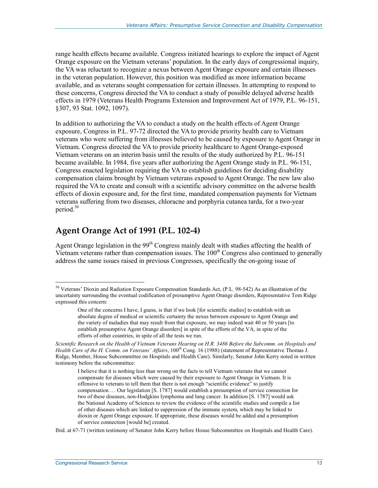range health effects became available. Congress initiated hearings to explore the impact of Agent Orange exposure on the Vietnam veterans' population. In the early days of congressional inquiry, the VA was reluctant to recognize a nexus between Agent Orange exposure and certain illnesses in the veteran population. However, this position was modified as more information became available, and as veterans sought compensation for certain illnesses. In attempting to respond to these concerns, Congress directed the VA to conduct a study of possible delayed adverse health effects in 1979 (Veterans Health Programs Extension and Improvement Act of 1979, P.L. 96-151, §307, 93 Stat. 1092, 1097).

In addition to authorizing the VA to conduct a study on the health effects of Agent Orange exposure, Congress in P.L. 97-72 directed the VA to provide priority health care to Vietnam veterans who were suffering from illnesses believed to be caused by exposure to Agent Orange in Vietnam. Congress directed the VA to provide priority healthcare to Agent Orange-exposed Vietnam veterans on an interim basis until the results of the study authorized by P.L. 96-151 became available. In 1984, five years after authorizing the Agent Orange study in P.L. 96-151, Congress enacted legislation requiring the VA to establish guidelines for deciding disability compensation claims brought by Vietnam veterans exposed to Agent Orange. The new law also required the VA to create and consult with a scientific advisory committee on the adverse health effects of dioxin exposure and, for the first time, mandated compensation payments for Vietnam veterans suffering from two diseases, chloracne and porphyria cutanea tarda, for a two-year period.<sup>50</sup>

### **Agent Orange Act of 1991 (P.L. 102-4)**

Agent Orange legislation in the  $99<sup>th</sup>$  Congress mainly dealt with studies affecting the health of Vietnam veterans rather than compensation issues. The  $100<sup>th</sup>$  Congress also continued to generally address the same issues raised in previous Congresses, specifically the on-going issue of

Ibid. at 67-71 (written testimony of Senator John Kerry before House Subcommittee on Hospitals and Health Care).

<sup>&</sup>lt;sup>50</sup> Veterans' Dioxin and Radiation Exposure Compensation Standards Act, (P.L. 98-542) As an illustration of the uncertainty surrounding the eventual codification of presumptive Agent Orange disorders, Representative Tom Ridge expressed this concern:

One of the concerns I have, I guess, is that if we look [for scientific studies] to establish with an absolute degree of medical or scientific certainty the nexus between exposure to Agent Orange and the variety of maladies that may result from that exposure, we may indeed wait 40 or 50 years [to establish presumptive Agent Orange disorders] in spite of the efforts of the VA, in spite of the efforts of other countries, in spite of all the tests we run.

*Scientific Research on the Health of Vietnam Veterans Hearing on H.R. 3486 Before the Subcomm. on Hospitals and Health Care of the H. Comm. on Veterans' Affairs*, 100<sup>th</sup> Cong. 16 (1988) (statement of Representative Thomas J. Ridge, Member, House Subcommittee on Hospitals and Health Care). Similarly, Senator John Kerry noted in written testimony before the subcommittee:

I believe that it is nothing less than wrong on the facts to tell Vietnam veterans that we cannot compensate for diseases which were caused by their exposure to Agent Orange in Vietnam. It is offensive to veterans to tell them that there is not enough "scientific evidence" to justify compensation … Our legislation [S. 1787] would establish a presumption of service connection for two of these diseases, non-Hodgkins lymphoma and lung cancer. In addition [S. 1787] would ask the National Academy of Sciences to review the evidence of the scientific studies and compile a list of other diseases which are linked to suppression of the immune system, which may be linked to dioxin or Agent Orange exposure. If appropriate, these diseases would be added and a presumption of service connection [would be] created.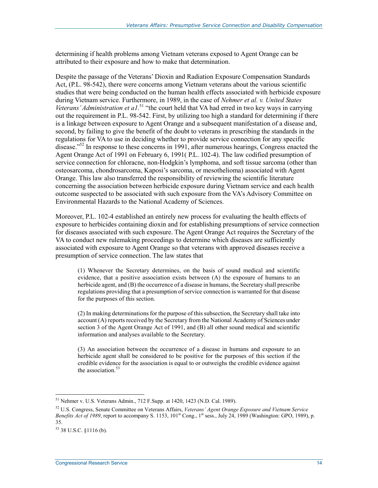determining if health problems among Vietnam veterans exposed to Agent Orange can be attributed to their exposure and how to make that determination.

Despite the passage of the Veterans' Dioxin and Radiation Exposure Compensation Standards Act, (P.L. 98-542), there were concerns among Vietnam veterans about the various scientific studies that were being conducted on the human health effects associated with herbicide exposure during Vietnam service. Furthermore, in 1989, in the case of *Nehmer et al. v. United States Veterans' Administration et a1.*51 "the court held that VA had erred in two key ways in carrying out the requirement in P.L. 98-542. First, by utilizing too high a standard for determining if there is a linkage between exposure to Agent Orange and a subsequent manifestation of a disease and, second, by failing to give the benefit of the doubt to veterans in prescribing the standards in the regulations for VA to use in deciding whether to provide service connection for any specific disease."<sup>52</sup> In response to these concerns in 1991, after numerous hearings, Congress enacted the Agent Orange Act of 1991 on February 6, 1991( P.L. 102-4). The law codified presumption of service connection for chloracne, non-Hodgkin's lymphoma, and soft tissue sarcoma (other than osteosarcoma, chondrosarcoma, Kaposi's sarcoma, or mesothelioma) associated with Agent Orange. This law also transferred the responsibility of reviewing the scientific literature concerning the association between herbicide exposure during Vietnam service and each health outcome suspected to be associated with such exposure from the VA's Advisory Committee on Environmental Hazards to the National Academy of Sciences.

Moreover, P.L. 102-4 established an entirely new process for evaluating the health effects of exposure to herbicides containing dioxin and for establishing presumptions of service connection for diseases associated with such exposure. The Agent Orange Act requires the Secretary of the VA to conduct new rulemaking proceedings to determine which diseases are sufficiently associated with exposure to Agent Orange so that veterans with approved diseases receive a presumption of service connection. The law states that

(1) Whenever the Secretary determines, on the basis of sound medical and scientific evidence, that a positive association exists between (A) the exposure of humans to an herbicide agent, and (B) the occurrence of a disease in humans, the Secretary shall prescribe regulations providing that a presumption of service connection is warranted for that disease for the purposes of this section.

(2) In making determinations for the purpose of this subsection, the Secretary shall take into account (A) reports received by the Secretary from the National Academy of Sciences under section 3 of the Agent Orange Act of 1991, and (B) all other sound medical and scientific information and analyses available to the Secretary.

(3) An association between the occurrence of a disease in humans and exposure to an herbicide agent shall be considered to be positive for the purposes of this section if the credible evidence for the association is equal to or outweighs the credible evidence against the association.<sup>53</sup>

<sup>51</sup> Nehmer v. U.S. Veterans Admin., 712 F.Supp. at 1420, 1423 (N.D. Cal. 1989).

<sup>52</sup> U.S. Congress, Senate Committee on Veterans Affairs, *Veterans' Agent Orange Exposure and Vietnam Service*  Benefits Act of 1989, report to accompany S. 1153, 101<sup>st</sup> Cong., 1<sup>st</sup> sess., July 24, 1989 (Washington: GPO, 1989), p. 35.

 $53$  38 U.S.C.  $$1116$  (b).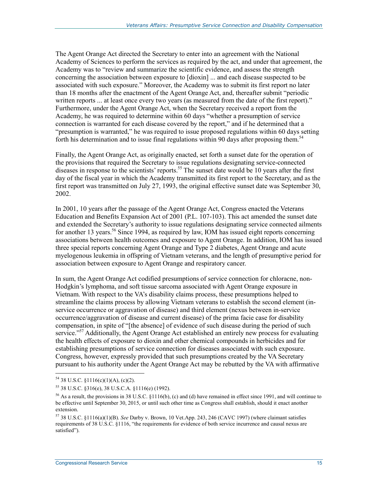The Agent Orange Act directed the Secretary to enter into an agreement with the National Academy of Sciences to perform the services as required by the act, and under that agreement, the Academy was to "review and summarize the scientific evidence, and assess the strength concerning the association between exposure to [dioxin] ... and each disease suspected to be associated with such exposure." Moreover, the Academy was to submit its first report no later than 18 months after the enactment of the Agent Orange Act, and, thereafter submit "periodic written reports ... at least once every two years (as measured from the date of the first report)." Furthermore, under the Agent Orange Act, when the Secretary received a report from the Academy, he was required to determine within 60 days "whether a presumption of service connection is warranted for each disease covered by the report," and if he determined that a "presumption is warranted," he was required to issue proposed regulations within 60 days setting forth his determination and to issue final regulations within 90 days after proposing them.<sup>54</sup>

Finally, the Agent Orange Act, as originally enacted, set forth a sunset date for the operation of the provisions that required the Secretary to issue regulations designating service-connected diseases in response to the scientists' reports.<sup>55</sup> The sunset date would be 10 years after the first day of the fiscal year in which the Academy transmitted its first report to the Secretary, and as the first report was transmitted on July 27, 1993, the original effective sunset date was September 30, 2002.

In 2001, 10 years after the passage of the Agent Orange Act, Congress enacted the Veterans Education and Benefits Expansion Act of 2001 (P.L. 107-103). This act amended the sunset date and extended the Secretary's authority to issue regulations designating service connected ailments for another 13 years.<sup>56</sup> Since 1994, as required by law, IOM has issued eight reports concerning associations between health outcomes and exposure to Agent Orange. In addition, IOM has issued three special reports concerning Agent Orange and Type 2 diabetes, Agent Orange and acute myelogenous leukemia in offspring of Vietnam veterans, and the length of presumptive period for association between exposure to Agent Orange and respiratory cancer.

In sum, the Agent Orange Act codified presumptions of service connection for chloracne, non-Hodgkin's lymphoma, and soft tissue sarcoma associated with Agent Orange exposure in Vietnam. With respect to the VA's disability claims process, these presumptions helped to streamline the claims process by allowing Vietnam veterans to establish the second element (inservice occurrence or aggravation of disease) and third element (nexus between in-service occurrence/aggravation of disease and current disease) of the prima facie case for disability compensation, in spite of "[the absence] of evidence of such disease during the period of such service."<sup>57</sup> Additionally, the Agent Orange Act established an entirely new process for evaluating the health effects of exposure to dioxin and other chemical compounds in herbicides and for establishing presumptions of service connection for diseases associated with such exposure. Congress, however, expressly provided that such presumptions created by the VA Secretary pursuant to his authority under the Agent Orange Act may be rebutted by the VA with affirmative

<sup>54 38</sup> U.S.C.  $$1116(c)(1)(A), (c)(2)$ .

<sup>55 38</sup> U.S.C. §316(e), 38 U.S.C.A. §1116(e) (1992).

 $56$  As a result, the provisions in 38 U.S.C. §1116(b), (c) and (d) have remained in effect since 1991, and will continue to be effective until September 30, 2015, or until such other time as Congress shall establish, should it enact another extension.

<sup>57 38</sup> U.S.C. §1116(a)(1)(B). *See* Darby v. Brown, 10 Vet.App. 243, 246 (CAVC 1997) (where claimant satisfies requirements of 38 U.S.C. §1116, "the requirements for evidence of both service incurrence and causal nexus are satisfied").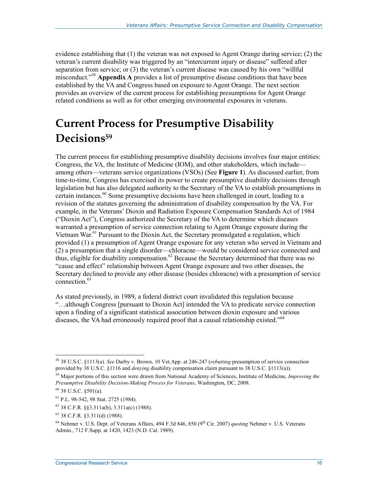evidence establishing that (1) the veteran was not exposed to Agent Orange during service; (2) the veteran's current disability was triggered by an "intercurrent injury or disease" suffered after separation from service; or (3) the veteran's current disease was caused by his own "willful misconduct."58 **Appendix A** provides a list of presumptive disease conditions that have been established by the VA and Congress based on exposure to Agent Orange. The next section provides an overview of the current process for establishing presumptions for Agent Orange related conditions as well as for other emerging environmental exposures in veterans.

## **Current Process for Presumptive Disability Decisions59**

The current process for establishing presumptive disability decisions involves four major entities: Congress, the VA, the Institute of Medicine (IOM), and other stakeholders, which include among others—veterans service organizations (VSOs) (See **Figure 1**). As discussed earlier, from time-to-time, Congress has exercised its power to create presumptive disability decisions through legislation but has also delegated authority to the Secretary of the VA to establish presumptions in certain instances.<sup>60</sup> Some presumptive decisions have been challenged in court, leading to a revision of the statutes governing the administration of disability compensation by the VA. For example, in the Veterans' Dioxin and Radiation Exposure Compensation Standards Act of 1984 ("Dioxin Act"), Congress authorized the Secretary of the VA to determine which diseases warranted a presumption of service connection relating to Agent Orange exposure during the Vietnam War.<sup>61</sup> Pursuant to the Dioxin Act, the Secretary promulgated a regulation, which provided (1) a presumption of Agent Orange exposure for any veteran who served in Vietnam and (2) a presumption that a single disorder—chloracne—would be considered service connected and thus, eligible for disability compensation.<sup>62</sup> Because the Secretary determined that there was no "cause and effect" relationship between Agent Orange exposure and two other diseases, the Secretary declined to provide any other disease (besides chloracne) with a presumption of service connection.<sup>63</sup>

As stated previously, in 1989, a federal district court invalidated this regulation because "…although Congress [pursuant to Dioxin Act] intended the VA to predicate service connection upon a finding of a significant statistical association between dioxin exposure and various diseases, the VA had erroneously required proof that a causal relationship existed."<sup>64</sup>

<sup>58 38</sup> U.S.C. §1113(a). *See* Darby v. Brown, 10 Vet.App. at 246-247 (*rebutting* presumption of service connection provided by 38 U.S.C. §1116 and *denying* disability compensation claim pursuant to 38 U.S.C. §1113(a)).

<sup>59</sup> Major portions of this section were drawn from National Academy of Sciences, Institute of Medicine, *Improving the Presumptive Disability Decision-Making Process for Veterans*, Washington, DC, 2008.

 $60$  38 U.S.C.  $$501(a)$ .

<sup>61</sup> P.L. 98-542, 98 Stat. 2725 (1984).

 $62$  38 C.F.R. §§3.311a(b), 3.311a(c) (1988).

<sup>63 38</sup> C.F.R. §3.311(d) (1988).

<sup>&</sup>lt;sup>64</sup> Nehmer v. U.S. Dept. of Veterans Affairs, 494 F.3d 846, 850 (9<sup>th</sup> Cir. 2007) *quoting* Nehmer v. U.S. Veterans Admin., 712 F.Supp. at 1420, 1423 (N.D. Cal. 1989).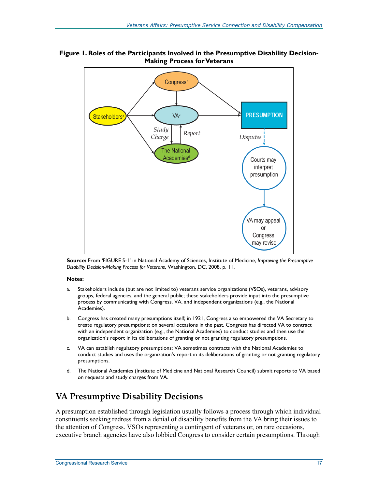

**Figure 1. Roles of the Participants Involved in the Presumptive Disability Decision-Making Process for Veterans** 

**Source:** From 'FIGURE S-1' in National Academy of Sciences, Institute of Medicine, *Improving the Presumptive Disability Decision-Making Process for Veterans*, Washington, DC, 2008, p. 11.

#### **Notes:**

- a. Stakeholders include (but are not limited to) veterans service organizations (VSOs), veterans, advisory groups, federal agencies, and the general public; these stakeholders provide input into the presumptive process by communicating with Congress, VA, and independent organizations (e.g., the National Academies).
- b. Congress has created many presumptions itself; in 1921, Congress also empowered the VA Secretary to create regulatory presumptions; on several occasions in the past, Congress has directed VA to contract with an independent organization (e.g., the National Academies) to conduct studies and then use the organization's report in its deliberations of granting or not granting regulatory presumptions.
- c. VA can establish regulatory presumptions; VA sometimes contracts with the National Academies to conduct studies and uses the organization's report in its deliberations of granting or not granting regulatory presumptions.
- d. The National Academies (Institute of Medicine and National Research Council) submit reports to VA based on requests and study charges from VA.

### **VA Presumptive Disability Decisions**

A presumption established through legislation usually follows a process through which individual constituents seeking redress from a denial of disability benefits from the VA bring their issues to the attention of Congress. VSOs representing a contingent of veterans or, on rare occasions, executive branch agencies have also lobbied Congress to consider certain presumptions. Through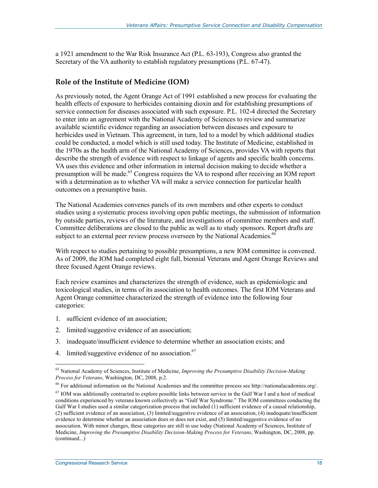a 1921 amendment to the War Risk Insurance Act (P.L. 63-193), Congress also granted the Secretary of the VA authority to establish regulatory presumptions (P.L. 67-47).

#### **Role of the Institute of Medicine (IOM)**

As previously noted, the Agent Orange Act of 1991 established a new process for evaluating the health effects of exposure to herbicides containing dioxin and for establishing presumptions of service connection for diseases associated with such exposure. P.L. 102-4 directed the Secretary to enter into an agreement with the National Academy of Sciences to review and summarize available scientific evidence regarding an association between diseases and exposure to herbicides used in Vietnam. This agreement, in turn, led to a model by which additional studies could be conducted, a model which is still used today. The Institute of Medicine, established in the 1970s as the health arm of the National Academy of Sciences, provides VA with reports that describe the strength of evidence with respect to linkage of agents and specific health concerns. VA uses this evidence and other information in internal decision making to decide whether a presumption will be made.<sup>65</sup> Congress requires the VA to respond after receiving an IOM report with a determination as to whether VA will make a service connection for particular health outcomes on a presumptive basis.

The National Academies convenes panels of its own members and other experts to conduct studies using a systematic process involving open public meetings, the submission of information by outside parties, reviews of the literature, and investigations of committee members and staff. Committee deliberations are closed to the public as well as to study sponsors. Report drafts are subject to an external peer review process overseen by the National Academies.<sup>66</sup>

With respect to studies pertaining to possible presumptions, a new IOM committee is convened. As of 2009, the IOM had completed eight full, biennial Veterans and Agent Orange Reviews and three focused Agent Orange reviews.

Each review examines and characterizes the strength of evidence, such as epidemiologic and toxicological studies, in terms of its association to health outcomes. The first IOM Veterans and Agent Orange committee characterized the strength of evidence into the following four categories:

- 1. sufficient evidence of an association;
- 2. limited/suggestive evidence of an association;
- 3. inadequate/insufficient evidence to determine whether an association exists; and
- 4. limited/suggestive evidence of no association.<sup>67</sup>

<sup>65</sup> National Academy of Sciences, Institute of Medicine, *Improving the Presumptive Disability Decision-Making Process for Veterans*, Washington, DC, 2008, p.2.

<sup>66</sup> For additional information on the National Academies and the committee process see http://nationalacademies.org/.

 $67$  IOM was additionally contracted to explore possible links between service in the Gulf War I and a host of medical conditions experienced by veterans known collectively as "Gulf War Syndrome." The IOM committees conducting the Gulf War I studies used a similar categorization process that included (1) sufficient evidence of a causal relationship, (2) sufficient evidence of an association, (3) limited/suggestive evidence of an association, (4) inadequate/insufficient evidence to determine whether an association does or does not exist, and (5) limited/suggestive evidence of no association. With minor changes, these categories are still in use today (National Academy of Sciences, Institute of Medicine, *Improving the Presumptive Disability Decision-Making Process for Veterans*, Washington, DC, 2008, pp. (continued...)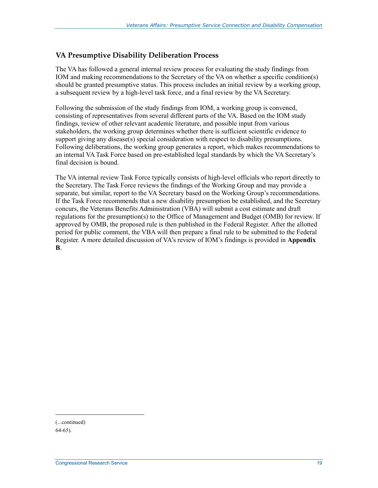#### **VA Presumptive Disability Deliberation Process**

The VA has followed a general internal review process for evaluating the study findings from IOM and making recommendations to the Secretary of the VA on whether a specific condition(s) should be granted presumptive status. This process includes an initial review by a working group, a subsequent review by a high-level task force, and a final review by the VA Secretary.

Following the submission of the study findings from IOM, a working group is convened, consisting of representatives from several different parts of the VA. Based on the IOM study findings, review of other relevant academic literature, and possible input from various stakeholders, the working group determines whether there is sufficient scientific evidence to support giving any disease(s) special consideration with respect to disability presumptions. Following deliberations, the working group generates a report, which makes recommendations to an internal VA Task Force based on pre-established legal standards by which the VA Secretary's final decision is bound.

The VA internal review Task Force typically consists of high-level officials who report directly to the Secretary. The Task Force reviews the findings of the Working Group and may provide a separate, but similar, report to the VA Secretary based on the Working Group's recommendations. If the Task Force recommends that a new disability presumption be established, and the Secretary concurs, the Veterans Benefits Administration (VBA) will submit a cost estimate and draft regulations for the presumption(s) to the Office of Management and Budget (OMB) for review. If approved by OMB, the proposed rule is then published in the Federal Register. After the allotted period for public comment, the VBA will then prepare a final rule to be submitted to the Federal Register. A more detailed discussion of VA's review of IOM's findings is provided in **Appendix B**.

(...continued)

<sup>64-65).</sup>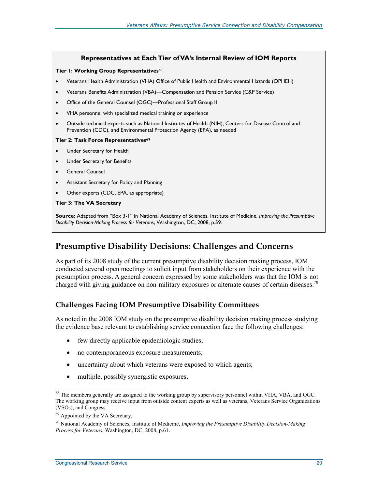#### **Representatives at Each Tier of VA's Internal Review of IOM Reports**

#### **Tier 1: Working Group Representatives**<sup>68</sup>

- Veterans Health Administration (VHA) Office of Public Health and Environmental Hazards (OPHEH)
- Veterans Benefits Administration (VBA)—Compensation and Pension Service (C&P Service)
- Office of the General Counsel (OGC)—Professional Staff Group II
- VHA personnel with specialized medical training or experience
- Outside technical experts such as National Institutes of Health (NIH), Centers for Disease Control and Prevention (CDC), and Environmental Protection Agency (EPA), as needed

#### **Tier 2: Task Force Representatives<sup>69</sup>**

- Under Secretary for Health
- Under Secretary for Benefits
- General Counsel
- Assistant Secretary for Policy and Planning
- Other experts (CDC, EPA, as appropriate)

#### **Tier 3: The VA Secretary**

**Source:** Adapted from "Box 3-1" in National Academy of Sciences, Institute of Medicine, *Improving the Presumptive Disability Decision-Making Process for Veterans*, Washington, DC, 2008, p.59.

### **Presumptive Disability Decisions: Challenges and Concerns**

As part of its 2008 study of the current presumptive disability decision making process, IOM conducted several open meetings to solicit input from stakeholders on their experience with the presumption process. A general concern expressed by some stakeholders was that the IOM is not charged with giving guidance on non-military exposures or alternate causes of certain diseases.<sup>70</sup>

#### **Challenges Facing IOM Presumptive Disability Committees**

As noted in the 2008 IOM study on the presumptive disability decision making process studying the evidence base relevant to establishing service connection face the following challenges:

- few directly applicable epidemiologic studies;
- no contemporaneous exposure measurements;
- uncertainty about which veterans were exposed to which agents;
- multiple, possibly synergistic exposures;

<sup>&</sup>lt;sup>68</sup> The members generally are assigned to the working group by supervisory personnel within VHA, VBA, and OGC. The working group may receive input from outside content experts as well as veterans, Veterans Service Organizations (VSOs), and Congress.

<sup>69</sup> Appointed by the VA Secretary.

<sup>70</sup> National Academy of Sciences, Institute of Medicine, *Improving the Presumptive Disability Decision-Making Process for Veterans*, Washington, DC, 2008, p.61.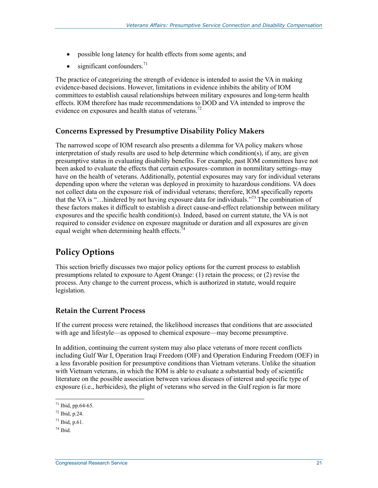- possible long latency for health effects from some agents; and
- $\bullet$  significant confounders.<sup>71</sup>

The practice of categorizing the strength of evidence is intended to assist the VA in making evidence-based decisions. However, limitations in evidence inhibits the ability of IOM committees to establish causal relationships between military exposures and long-term health effects. IOM therefore has made recommendations to DOD and VA intended to improve the evidence on exposures and health status of veterans.<sup>72</sup>

#### **Concerns Expressed by Presumptive Disability Policy Makers**

The narrowed scope of IOM research also presents a dilemma for VA policy makers whose interpretation of study results are used to help determine which condition(s), if any, are given presumptive status in evaluating disability benefits. For example, past IOM committees have not been asked to evaluate the effects that certain exposures–common in nonmilitary settings–may have on the health of veterans. Additionally, potential exposures may vary for individual veterans depending upon where the veteran was deployed in proximity to hazardous conditions. VA does not collect data on the exposure risk of individual veterans; therefore, IOM specifically reports that the VA is "…hindered by not having exposure data for individuals."73 The combination of these factors makes it difficult to establish a direct cause-and-effect relationship between military exposures and the specific health condition(s). Indeed, based on current statute, the VA is not required to consider evidence on exposure magnitude or duration and all exposures are given equal weight when determining health effects. $74$ 

## **Policy Options**

This section briefly discusses two major policy options for the current process to establish presumptions related to exposure to Agent Orange: (1) retain the process; or (2) revise the process. Any change to the current process, which is authorized in statute, would require legislation.

#### **Retain the Current Process**

If the current process were retained, the likelihood increases that conditions that are associated with age and lifestyle—as opposed to chemical exposure—may become presumptive.

In addition, continuing the current system may also place veterans of more recent conflicts including Gulf War I, Operation Iraqi Freedom (OIF) and Operation Enduring Freedom (OEF) in a less favorable position for presumptive conditions than Vietnam veterans. Unlike the situation with Vietnam veterans, in which the IOM is able to evaluate a substantial body of scientific literature on the possible association between various diseases of interest and specific type of exposure (i.e., herbicides), the plight of veterans who served in the Gulf region is far more

 $71$  Ibid, pp.64-65.

<sup>72</sup> Ibid, p.24.

 $^{73}$  Ibid, p.61.

 $74$  Ibid.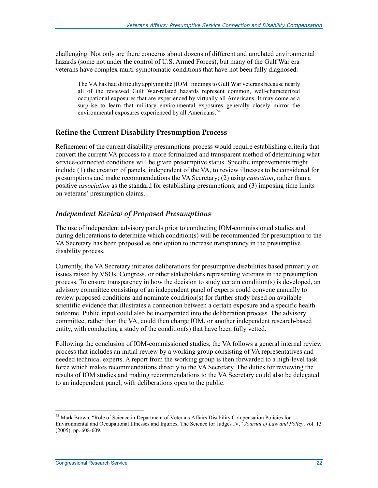challenging. Not only are there concerns about dozens of different and unrelated environmental hazards (some not under the control of U.S. Armed Forces), but many of the Gulf War era veterans have complex multi-symptomatic conditions that have not been fully diagnosed:

The VA has had difficulty applying the [IOM] findings to Gulf War veterans because nearly all of the reviewed Gulf War-related hazards represent common, well-characterized occupational exposures that are experienced by virtually all Americans. It may come as a surprise to learn that military environmental exposures generally closely mirror the environmental exposures experienced by all Americans.<sup>75</sup>

#### **Refine the Current Disability Presumption Process**

Refinement of the current disability presumptions process would require establishing criteria that convert the current VA process to a more formalized and transparent method of determining what service-connected conditions will be given presumptive status. Specific improvements might include (1) the creation of panels, independent of the VA, to review illnesses to be considered for presumptions and make recommendations the VA Secretary; (2) using *causation*, rather than a positive *association* as the standard for establishing presumptions; and (3) imposing time limits on veterans' presumption claims.

#### *Independent Review of Proposed Presumptions*

The use of independent advisory panels prior to conducting IOM-commissioned studies and during deliberations to determine which condition(s) will be recommended for presumption to the VA Secretary has been proposed as one option to increase transparency in the presumptive disability process.

Currently, the VA Secretary initiates deliberations for presumptive disabilities based primarily on issues raised by VSOs, Congress, or other stakeholders representing veterans in the presumption process. To ensure transparency in how the decision to study certain condition(s) is developed, an advisory committee consisting of an independent panel of experts could convene annually to review proposed conditions and nominate condition(s) for further study based on available scientific evidence that illustrates a connection between a certain exposure and a specific health outcome. Public input could also be incorporated into the deliberation process. The advisory committee, rather than the VA, could then charge IOM, or another independent research-based entity, with conducting a study of the condition(s) that have been fully vetted.

Following the conclusion of IOM-commissioned studies, the VA follows a general internal review process that includes an initial review by a working group consisting of VA representatives and needed technical experts. A report from the working group is then forwarded to a high-level task force which makes recommendations directly to the VA Secretary. The duties for reviewing the results of IOM studies and making recommendations to the VA Secretary could also be delegated to an independent panel, with deliberations open to the public.

<sup>&</sup>lt;sup>75</sup> Mark Brown, "Role of Science in Department of Veterans Affairs Disability Compensation Policies for Environmental and Occupational Illnesses and Injuries, The Science for Judges IV," *Journal of Law and Policy*, vol. 13 (2005), pp. 608-609.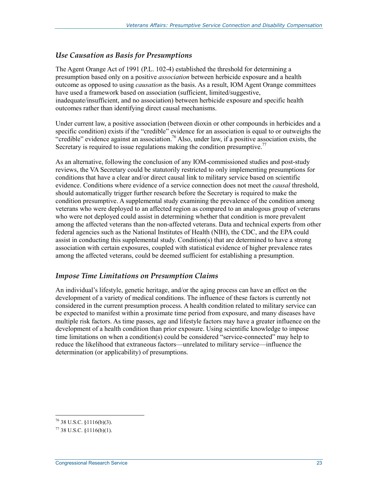#### *Use Causation as Basis for Presumptions*

The Agent Orange Act of 1991 (P.L. 102-4) established the threshold for determining a presumption based only on a positive *association* between herbicide exposure and a health outcome as opposed to using *causation* as the basis. As a result, IOM Agent Orange committees have used a framework based on association (sufficient, limited/suggestive, inadequate/insufficient, and no association) between herbicide exposure and specific health outcomes rather than identifying direct causal mechanisms.

Under current law, a positive association (between dioxin or other compounds in herbicides and a specific condition) exists if the "credible" evidence for an association is equal to or outweighs the "credible" evidence against an association.<sup>76</sup> Also, under law, if a positive association exists, the Secretary is required to issue regulations making the condition presumptive.<sup>77</sup>

As an alternative, following the conclusion of any IOM-commissioned studies and post-study reviews, the VA Secretary could be statutorily restricted to only implementing presumptions for conditions that have a clear and/or direct causal link to military service based on scientific evidence. Conditions where evidence of a service connection does not meet the *causal* threshold, should automatically trigger further research before the Secretary is required to make the condition presumptive. A supplemental study examining the prevalence of the condition among veterans who were deployed to an affected region as compared to an analogous group of veterans who were not deployed could assist in determining whether that condition is more prevalent among the affected veterans than the non-affected veterans. Data and technical experts from other federal agencies such as the National Institutes of Health (NIH), the CDC, and the EPA could assist in conducting this supplemental study. Condition(s) that are determined to have a strong association with certain exposures, coupled with statistical evidence of higher prevalence rates among the affected veterans, could be deemed sufficient for establishing a presumption.

#### *Impose Time Limitations on Presumption Claims*

An individual's lifestyle, genetic heritage, and/or the aging process can have an effect on the development of a variety of medical conditions. The influence of these factors is currently not considered in the current presumption process. A health condition related to military service can be expected to manifest within a proximate time period from exposure, and many diseases have multiple risk factors. As time passes, age and lifestyle factors may have a greater influence on the development of a health condition than prior exposure. Using scientific knowledge to impose time limitations on when a condition(s) could be considered "service-connected" may help to reduce the likelihood that extraneous factors—unrelated to military service—influence the determination (or applicability) of presumptions.

 $^{76}$  38 U.S.C. §1116(b)(3).

 $77$  38 U.S.C.  $$1116(b)(1)$ .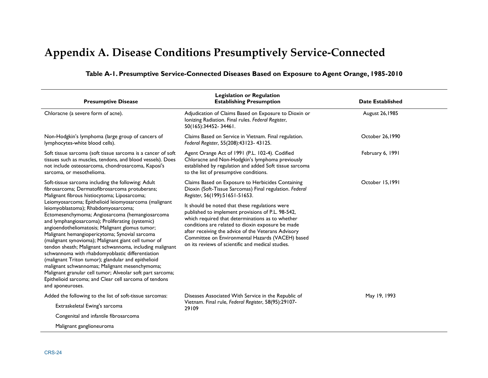## **Appendix A. Disease Conditions Presumptively Service-Connected**

| <b>Presumptive Disease</b>                                                                                                                                                                                                                                                                                                                                                                                                                                                                                                                                                                                                                                                                                                                                                                                                                                                                    | <b>Legislation or Regulation</b><br><b>Establishing Presumption</b>                                                                                                                                                                                                                                                                                                          | <b>Date Established</b> |  |
|-----------------------------------------------------------------------------------------------------------------------------------------------------------------------------------------------------------------------------------------------------------------------------------------------------------------------------------------------------------------------------------------------------------------------------------------------------------------------------------------------------------------------------------------------------------------------------------------------------------------------------------------------------------------------------------------------------------------------------------------------------------------------------------------------------------------------------------------------------------------------------------------------|------------------------------------------------------------------------------------------------------------------------------------------------------------------------------------------------------------------------------------------------------------------------------------------------------------------------------------------------------------------------------|-------------------------|--|
| Chloracne (a severe form of acne).                                                                                                                                                                                                                                                                                                                                                                                                                                                                                                                                                                                                                                                                                                                                                                                                                                                            | Adjudication of Claims Based on Exposure to Dioxin or<br>Ionizing Radiation. Final rules. Federal Register,<br>50(165):34452-34461.                                                                                                                                                                                                                                          | August 26, 1985         |  |
| Non-Hodgkin's lymphoma (large group of cancers of<br>lymphocytes-white blood cells).                                                                                                                                                                                                                                                                                                                                                                                                                                                                                                                                                                                                                                                                                                                                                                                                          | Claims Based on Service in Vietnam. Final regulation.<br>Federal Register, 55(208):43123-43125.                                                                                                                                                                                                                                                                              | October 26,1990         |  |
| Soft tissue sarcoma (soft tissue sarcoma is a cancer of soft<br>tissues such as muscles, tendons, and blood vessels). Does<br>not include osteosarcoma, chondrosarcoma, Kaposi's<br>sarcoma, or mesothelioma.                                                                                                                                                                                                                                                                                                                                                                                                                                                                                                                                                                                                                                                                                 | Agent Orange Act of 1991 (P.L. 102-4). Codified<br>Chloracne and Non-Hodgkin's lymphoma previously<br>established by regulation and added Soft tissue sarcoma<br>to the list of presumptive conditions.                                                                                                                                                                      | February 6, 1991        |  |
| Soft-tissue sarcoma including the following: Adult<br>fibrosarcoma; Dermatofibrosarcoma protuberans;<br>Malignant fibrous histiocytoma; Liposarcoma;<br>Leiomyosarcoma; Epithelioid leiomyosarcoma (malignant<br>leiomyoblastoma); Rhabdomyosarcoma;<br>Ectomesenchymoma; Angiosarcoma (hemangiosarcoma<br>and lymphangiosarcoma); Proliferating (systemic)<br>angioendotheliomatosis; Malignant glomus tumor;<br>Malignant hemangiopericytoma; Synovial sarcoma<br>(malignant synovioma); Malignant giant cell tumor of<br>tendon sheath; Malignant schwannoma, including malignant<br>schwannoma with rhabdomyoblastic differentiation<br>(malignant Triton tumor); glandular and epithelioid<br>malignant schwannomas; Malignant mesenchymoma;<br>Malignant granular cell tumor; Alveolar soft part sarcoma;<br>Epithelioid sarcoma; and Clear cell sarcoma of tendons<br>and aponeuroses. | Claims Based on Exposure to Herbicides Containing<br>Dioxin (Soft-Tissue Sarcomas) Final regulation. Federal<br>Register, 56(199):51651-51653.                                                                                                                                                                                                                               | October 15,1991         |  |
|                                                                                                                                                                                                                                                                                                                                                                                                                                                                                                                                                                                                                                                                                                                                                                                                                                                                                               | It should be noted that these regulations were<br>published to implement provisions of P.L. 98-542,<br>which required that determinations as to whether<br>conditions are related to dioxin exposure be made<br>after receiving the advice of the Veterans Advisory<br>Committee on Environmental Hazards (VACEH) based<br>on its reviews of scientific and medical studies. |                         |  |
| Added the following to the list of soft-tissue sarcomas:                                                                                                                                                                                                                                                                                                                                                                                                                                                                                                                                                                                                                                                                                                                                                                                                                                      | Diseases Associated With Service in the Republic of                                                                                                                                                                                                                                                                                                                          | May 19, 1993            |  |
| Extraskeletal Ewing's sarcoma                                                                                                                                                                                                                                                                                                                                                                                                                                                                                                                                                                                                                                                                                                                                                                                                                                                                 | Vietnam. Final rule, Federal Register, 58(95):29107-<br>29109                                                                                                                                                                                                                                                                                                                |                         |  |
| Congenital and infantile fibrosarcoma                                                                                                                                                                                                                                                                                                                                                                                                                                                                                                                                                                                                                                                                                                                                                                                                                                                         |                                                                                                                                                                                                                                                                                                                                                                              |                         |  |
| Malignant ganglioneuroma                                                                                                                                                                                                                                                                                                                                                                                                                                                                                                                                                                                                                                                                                                                                                                                                                                                                      |                                                                                                                                                                                                                                                                                                                                                                              |                         |  |

#### **Table A-1. Presumptive Service-Connected Diseases Based on Exposure to Agent Orange, 1985-2010**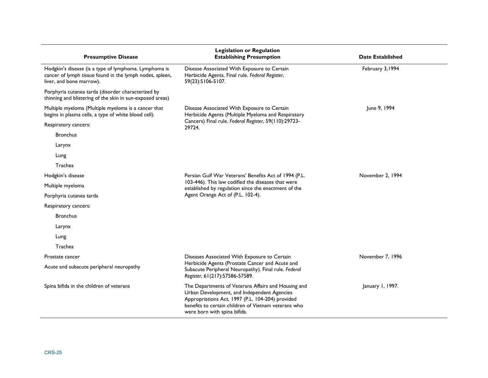| <b>Presumptive Disease</b>                                                                                                                    | <b>Legislation or Regulation</b><br><b>Establishing Presumption</b>                                                                                                                                                                            | <b>Date Established</b> |
|-----------------------------------------------------------------------------------------------------------------------------------------------|------------------------------------------------------------------------------------------------------------------------------------------------------------------------------------------------------------------------------------------------|-------------------------|
| Hodgkin's disease (is a type of lymphoma. Lymphoma is<br>cancer of lymph tissue found in the lymph nodes, spleen,<br>liver, and bone marrow). | Disease Associated With Exposure to Certain<br>Herbicide Agents. Final rule. Federal Register,<br>59(23):5106-5107.                                                                                                                            | February 3,1994         |
| Porphyria cutanea tarda (disorder characterized by<br>thinning and blistering of the skin in sun-exposed areas)                               |                                                                                                                                                                                                                                                |                         |
| Multiple myeloma (Multiple myeloma is a cancer that<br>begins in plasma cells, a type of white blood cell).                                   | Disease Associated With Exposure to Certain<br>Herbicide Agents (Multiple Myeloma and Respiratory                                                                                                                                              | June 9, 1994            |
| Respiratory cancers:                                                                                                                          | Cancers) Final rule. Federal Register, 59(110):29723-<br>29724.                                                                                                                                                                                |                         |
| <b>Bronchus</b>                                                                                                                               |                                                                                                                                                                                                                                                |                         |
| Larynx                                                                                                                                        |                                                                                                                                                                                                                                                |                         |
| Lung                                                                                                                                          |                                                                                                                                                                                                                                                |                         |
| Trachea                                                                                                                                       |                                                                                                                                                                                                                                                |                         |
| Hodgkin's disease                                                                                                                             | Persian Gulf War Veterans' Benefits Act of 1994 (P.L.                                                                                                                                                                                          | November 2, 1994        |
| Multiple myeloma                                                                                                                              | 103-446). This law codified the diseases that were<br>established by regulation since the enactment of the<br>Agent Orange Act of (P.L. 102-4).                                                                                                |                         |
| Porphyria cutanea tarda                                                                                                                       |                                                                                                                                                                                                                                                |                         |
| Respiratory cancers:                                                                                                                          |                                                                                                                                                                                                                                                |                         |
| <b>Bronchus</b>                                                                                                                               |                                                                                                                                                                                                                                                |                         |
| Larynx                                                                                                                                        |                                                                                                                                                                                                                                                |                         |
| Lung                                                                                                                                          |                                                                                                                                                                                                                                                |                         |
| Trachea                                                                                                                                       |                                                                                                                                                                                                                                                |                         |
| Prostate cancer                                                                                                                               | Diseases Associated With Exposure to Certain<br>Herbicide Agents (Prostate Cancer and Acute and<br>Subacute Peripheral Neuropathy). Final rule. Federal<br>Register, 61(217):57586-57589.                                                      | November 7, 1996        |
| Acute and subacute peripheral neuropathy                                                                                                      |                                                                                                                                                                                                                                                |                         |
| Spina bifida in the children of veterans                                                                                                      | The Departments of Veterans Affairs and Housing and<br>Urban Development, and Independent Agencies<br>Appropriations Act, 1997 (P.L. 104-204) provided<br>benefits to certain children of Vietnam veterans who<br>were born with spina bifida. | January 1, 1997.        |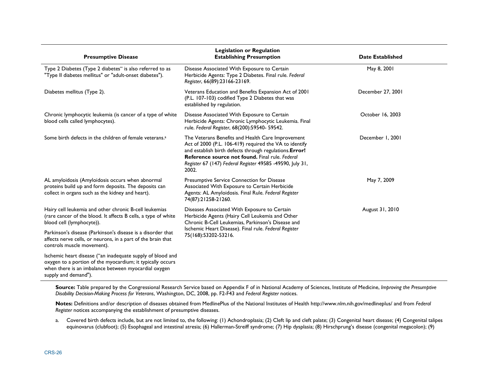| <b>Presumptive Disease</b>                                                                                                                                                                               | <b>Legislation or Regulation</b><br><b>Establishing Presumption</b>                                                                                                                                                                                                                             | <b>Date Established</b> |
|----------------------------------------------------------------------------------------------------------------------------------------------------------------------------------------------------------|-------------------------------------------------------------------------------------------------------------------------------------------------------------------------------------------------------------------------------------------------------------------------------------------------|-------------------------|
| Type 2 Diabetes (Type 2 diabetes" is also referred to as<br>"Type II diabetes mellitus" or "adult-onset diabetes").                                                                                      | Disease Associated With Exposure to Certain<br>Herbicide Agents: Type 2 Diabetes. Final rule. Federal<br>Register, 66(89):23166-23169.                                                                                                                                                          | May 8, 2001             |
| Diabetes mellitus (Type 2).                                                                                                                                                                              | Veterans Education and Benefits Expansion Act of 2001<br>(P.L. 107-103) codified Type 2 Diabetes that was<br>established by regulation.                                                                                                                                                         | December 27, 2001       |
| Chronic lymphocytic leukemia (is cancer of a type of white<br>blood cells called lymphocytes).                                                                                                           | Disease Associated With Exposure to Certain<br>Herbicide Agents: Chronic Lymphocytic Leukemia. Final<br>rule. Federal Register, 68(200):59540- 59542.                                                                                                                                           | October 16, 2003        |
| Some birth defects in the children of female veterans. <sup>3</sup>                                                                                                                                      | The Veterans Benefits and Health Care Improvement<br>Act of 2000 (P.L. 106-419) required the VA to identify<br>and establish birth defects through regulations. Error!<br>Reference source not found. Final rule, Federal<br>Register 67 (147) Federal Register 49585 -49590, July 31,<br>2002. | December 1, 2001        |
| AL amyloidosis (Amyloidosis occurs when abnormal<br>proteins build up and form deposits. The deposits can<br>collect in organs such as the kidney and heart).                                            | Presumptive Service Connection for Disease<br>Associated With Exposure to Certain Herbicide<br>Agents: AL Amyloidosis. Final Rule. Federal Register<br>74(87):21258-21260.                                                                                                                      | May 7, 2009             |
| Hairy cell leukemia and other chronic B-cell leukemias<br>(rare cancer of the blood. It affects B cells, a type of white<br>blood cell (lymphocyte)).                                                    | Diseases Associated With Exposure to Certain<br>Herbicide Agents (Hairy Cell Leukemia and Other<br>Chronic B-Cell Leukemias, Parkinson's Disease and<br>Ischemic Heart Disease). Final rule. Federal Register<br>75(168):53202-53216.                                                           | August 31, 2010         |
| Parkinson's disease (Parkinson's disease is a disorder that<br>affects nerve cells, or neurons, in a part of the brain that<br>controls muscle movement).                                                |                                                                                                                                                                                                                                                                                                 |                         |
| Ischemic heart disease ("an inadequate supply of blood and<br>oxygen to a portion of the myocardium; it typically occurs<br>when there is an imbalance between myocardial oxygen<br>supply and demand"). |                                                                                                                                                                                                                                                                                                 |                         |

**Source:** Table prepared by the Congressional Research Service based on Appendix F of in National Academy of Sciences, Institute of Medicine, *Improving the Presumptive Disability Decision-Making Process for Veterans*, Washington, DC, 2008, pp. F2-F43 and *Federal Register* notices.

**Notes:** Definitions and/or description of diseases obtained from MedlinePlus of the National Institutes of Health http://www.nlm.nih.gov/medlineplus/ and from *Federal Register* notices accompanying the establishment of presumptive diseases.

a. Covered birth defects include, but are not limited to, the following: (1) Achondroplasia; (2) Cleft lip and cleft palate; (3) Congenital heart disease; (4) Congenital talipes equinovarus (clubfoot); (5) Esophageal and intestinal atresia; (6) Hallerman-Streiff syndrome; (7) Hip dysplasia; (8) Hirschprung's disease (congenital megacolon); (9)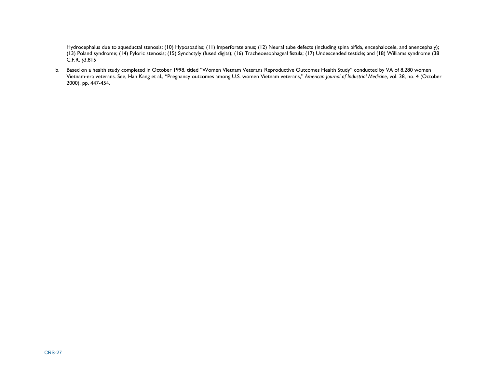Hydrocephalus due to aqueductal stenosis; (10) Hypospadias; (11) Imperforate anus; (12) Neural tube defects (including spina bifida, encephalocele, and anencephaly); (13) Poland syndrome; (14) Pyloric stenosis; (15) Syndactyly (fused digits); (16) Tracheoesophageal fistula; (17) Undescended testicle; and (18) Williams syndrome (38 C.F.R. §3.815

b. Based on a health study completed in October 1998, titled ''Women Vietnam Veterans Reproductive Outcomes Health Study'' conducted by VA of 8,280 women Vietnam-era veterans. See, Han Kang et al., "Pregnancy outcomes among U.S. women Vietnam veterans," *American Journal of Industrial Medicine*, vol. 38, no. 4 (October 2000), pp. 447-454.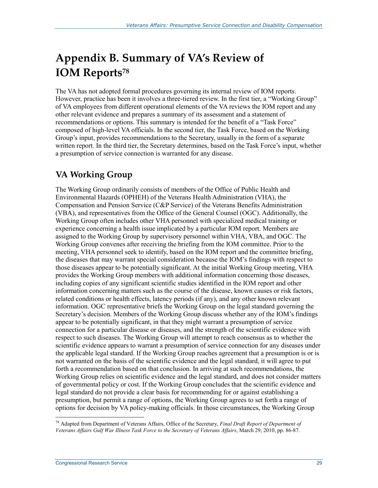## **Appendix B. Summary of VA's Review of IOM Reports78**

The VA has not adopted formal procedures governing its internal review of IOM reports. However, practice has been it involves a three-tiered review. In the first tier, a "Working Group" of VA employees from different operational elements of the VA reviews the IOM report and any other relevant evidence and prepares a summary of its assessment and a statement of recommendations or options. This summary is intended for the benefit of a "Task Force" composed of high-level VA officials. In the second tier, the Task Force, based on the Working Group's input, provides recommendations to the Secretary, usually in the form of a separate written report. In the third tier, the Secretary determines, based on the Task Force's input, whether a presumption of service connection is warranted for any disease.

## **VA Working Group**

The Working Group ordinarily consists of members of the Office of Public Health and Environmental Hazards (OPHEH) of the Veterans Health Administration (VHA), the Compensation and Pension Service (C&P Service) of the Veterans Benefits Administration (VBA), and representatives from the Office of the General Counsel (OGC). Additionally, the Working Group often includes other VHA personnel with specialized medical training or experience concerning a health issue implicated by a particular IOM report. Members are assigned to the Working Group by supervisory personnel within VHA, VBA, and OGC. The Working Group convenes after receiving the briefing from the IOM committee. Prior to the meeting, VHA personnel seek to identify, based on the IOM report and the committee briefing, the diseases that may warrant special consideration because the IOM's findings with respect to those diseases appear to be potentially significant. At the initial Working Group meeting, VHA provides the Working Group members with additional information concerning those diseases, including copies of any significant scientific studies identified in the IOM report and other information concerning matters such as the course of the disease, known causes or risk factors, related conditions or health effects, latency periods (if any), and any other known relevant information. OGC representative briefs the Working Group on the legal standard governing the Secretary's decision. Members of the Working Group discuss whether any of the IOM's findings appear to be potentially significant, in that they might warrant a presumption of service connection for a particular disease or diseases, and the strength of the scientific evidence with respect to such diseases. The Working Group will attempt to reach consensus as to whether the scientific evidence appears to warrant a presumption of service connection for any diseases under the applicable legal standard. If the Working Group reaches agreement that a presumption is or is not warranted on the basis of the scientific evidence and the legal standard, it will agree to put forth a recommendation based on that conclusion. In arriving at such recommendations, the Working Group relies on scientific evidence and the legal standard, and does not consider matters of governmental policy or cost. If the Working Group concludes that the scientific evidence and legal standard do not provide a clear basis for recommending for or against establishing a presumption, but permit a range of options, the Working Group agrees to set forth a range of options for decision by VA policy-making officials. In those circumstances, the Working Group

<sup>78</sup> Adapted from Department of Veterans Affairs, Office of the Secretary, *Final Draft Report of Department of Veterans Affairs Gulf War Illness Task Force to the Secretary of Veterans Affairs*, March 29, 2010, pp. 86-87.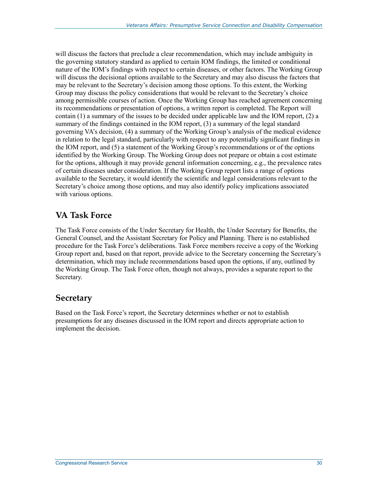will discuss the factors that preclude a clear recommendation, which may include ambiguity in the governing statutory standard as applied to certain IOM findings, the limited or conditional nature of the IOM's findings with respect to certain diseases, or other factors. The Working Group will discuss the decisional options available to the Secretary and may also discuss the factors that may be relevant to the Secretary's decision among those options. To this extent, the Working Group may discuss the policy considerations that would be relevant to the Secretary's choice among permissible courses of action. Once the Working Group has reached agreement concerning its recommendations or presentation of options, a written report is completed. The Report will contain (1) a summary of the issues to be decided under applicable law and the IOM report, (2) a summary of the findings contained in the IOM report, (3) a summary of the legal standard governing VA's decision, (4) a summary of the Working Group's analysis of the medical evidence in relation to the legal standard, particularly with respect to any potentially significant findings in the IOM report, and (5) a statement of the Working Group's recommendations or of the options identified by the Working Group. The Working Group does not prepare or obtain a cost estimate for the options, although it may provide general information concerning, e.g., the prevalence rates of certain diseases under consideration. If the Working Group report lists a range of options available to the Secretary, it would identify the scientific and legal considerations relevant to the Secretary's choice among those options, and may also identify policy implications associated with various options.

### **VA Task Force**

The Task Force consists of the Under Secretary for Health, the Under Secretary for Benefits, the General Counsel, and the Assistant Secretary for Policy and Planning. There is no established procedure for the Task Force's deliberations. Task Force members receive a copy of the Working Group report and, based on that report, provide advice to the Secretary concerning the Secretary's determination, which may include recommendations based upon the options, if any, outlined by the Working Group. The Task Force often, though not always, provides a separate report to the Secretary.

### **Secretary**

Based on the Task Force's report, the Secretary determines whether or not to establish presumptions for any diseases discussed in the IOM report and directs appropriate action to implement the decision.